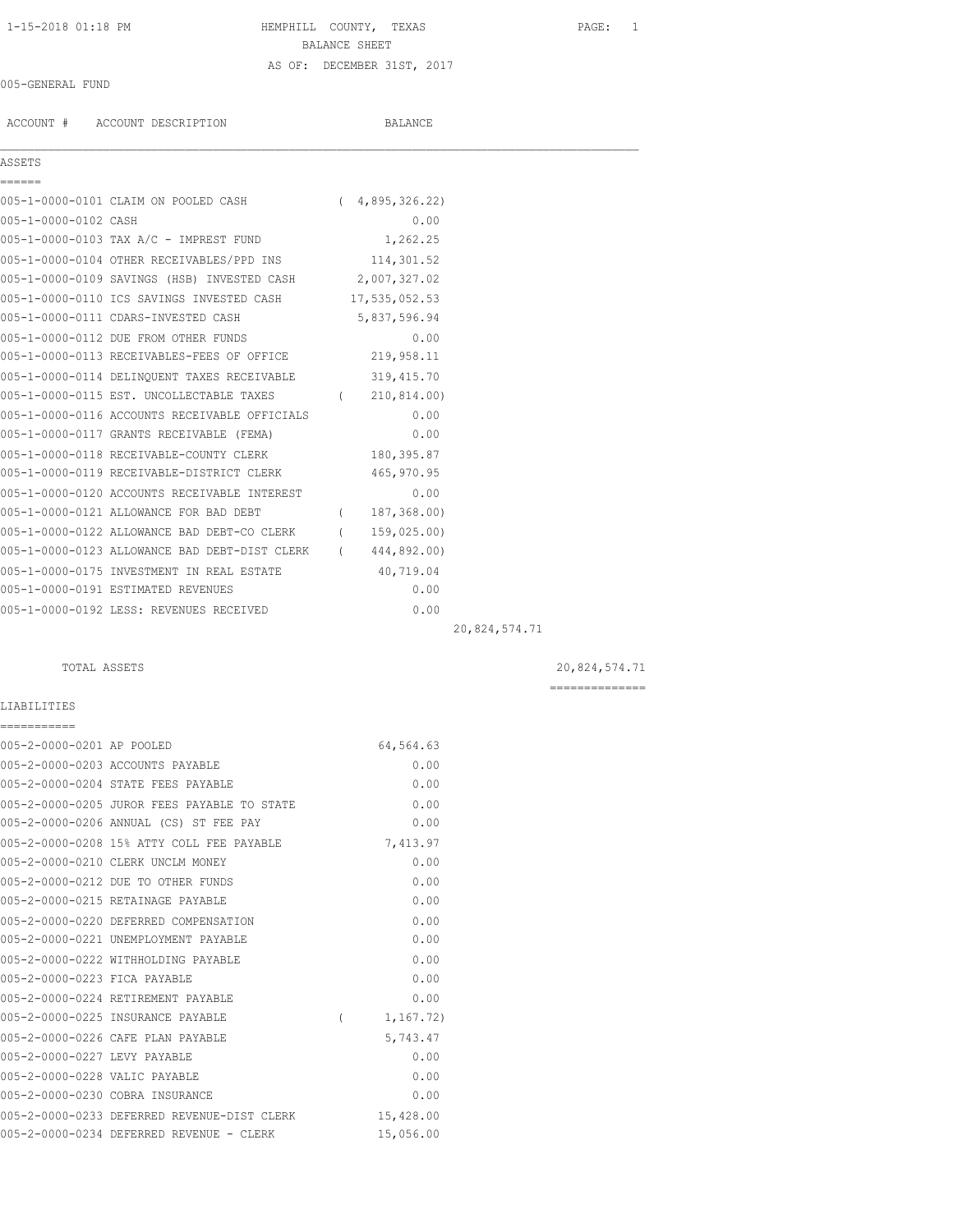1-15-2018 01:18 PM HEMPHILL COUNTY, TEXAS PAGE: 1 BALANCE SHEET AS OF: DECEMBER 31ST, 2017

# 005-GENERAL FUND

ACCOUNT # ACCOUNT DESCRIPTION BALANCE

| ASSETS |  |  |  |
|--------|--|--|--|
|        |  |  |  |

| ASSETS                               |               |
|--------------------------------------|---------------|
|                                      |               |
| 005-1-0000-0101 CLAIM ON POOLED CASH | 4,895,326.22) |

| 005-1-0000-0102 CASH |                                                            | 0.00           |               |
|----------------------|------------------------------------------------------------|----------------|---------------|
|                      | 005-1-0000-0103 TAX A/C - IMPREST FUND                     | 1,262.25       |               |
|                      | 005-1-0000-0104 OTHER RECEIVABLES/PPD INS 114,301.52       |                |               |
|                      | 005-1-0000-0109 SAVINGS (HSB) INVESTED CASH 2,007,327.02   |                |               |
|                      | 005-1-0000-0110 ICS SAVINGS INVESTED CASH 17,535,052.53    |                |               |
|                      | 005-1-0000-0111 CDARS-INVESTED CASH                        | 5,837,596.94   |               |
|                      | 005-1-0000-0112 DUE FROM OTHER FUNDS                       | 0.00           |               |
|                      | 005-1-0000-0113 RECEIVABLES-FEES OF OFFICE 219,958.11      |                |               |
|                      | 005-1-0000-0114 DELINQUENT TAXES RECEIVABLE 319,415.70     |                |               |
|                      | 005-1-0000-0115 EST. UNCOLLECTABLE TAXES (210,814.00)      |                |               |
|                      | 005-1-0000-0116 ACCOUNTS RECEIVABLE OFFICIALS              | 0.00           |               |
|                      | 005-1-0000-0117 GRANTS RECEIVABLE (FEMA)                   | 0.00           |               |
|                      | 005-1-0000-0118 RECEIVABLE-COUNTY CLERK 180,395.87         |                |               |
|                      | 005-1-0000-0119 RECEIVABLE-DISTRICT CLERK 465,970.95       |                |               |
|                      | 005-1-0000-0120 ACCOUNTS RECEIVABLE INTEREST               | 0.00           |               |
|                      | 005-1-0000-0121 ALLOWANCE FOR BAD DEBT                     | (187, 368, 00) |               |
|                      | 005-1-0000-0122 ALLOWANCE BAD DEBT-CO CLERK (              | 159,025.00)    |               |
|                      | 005-1-0000-0123 ALLOWANCE BAD DEBT-DIST CLERK (444,892.00) |                |               |
|                      | 005-1-0000-0175 INVESTMENT IN REAL ESTATE                  | 40,719.04      |               |
|                      | 005-1-0000-0191 ESTIMATED REVENUES                         | 0.00           |               |
|                      | 005-1-0000-0192 LESS: REVENUES RECEIVED                    | 0.00           |               |
|                      |                                                            |                | 20,824,574.71 |

LIABILITIES ===========

TOTAL ASSETS 20,824,574.71

| 005-2-0000-0201 AP POOLED     |                                             |          | 64,564.63  |
|-------------------------------|---------------------------------------------|----------|------------|
|                               | 005-2-0000-0203 ACCOUNTS PAYABLE            |          | 0.00       |
|                               | 005-2-0000-0204 STATE FEES PAYABLE          |          | 0.00       |
|                               | 005-2-0000-0205 JUROR FEES PAYABLE TO STATE |          | 0.00       |
|                               | 005-2-0000-0206 ANNUAL (CS) ST FEE PAY      |          | 0.00       |
|                               | 005-2-0000-0208 15% ATTY COLL FEE PAYABLE   |          | 7,413.97   |
|                               | 005-2-0000-0210 CLERK UNCLM MONEY           |          | 0.00       |
|                               | 005-2-0000-0212 DUE TO OTHER FUNDS          |          | 0.00       |
|                               | 005-2-0000-0215 RETAINAGE PAYABLE           |          | 0.00       |
|                               | 005-2-0000-0220 DEFERRED COMPENSATION       |          | 0.00       |
|                               | 005-2-0000-0221 UNEMPLOYMENT PAYABLE        |          | 0.00       |
|                               | 005-2-0000-0222 WITHHOLDING PAYABLE         |          | 0.00       |
| 005-2-0000-0223 FICA PAYABLE  |                                             |          | 0.00       |
|                               | 005-2-0000-0224 RETIREMENT PAYABLE          |          | 0.00       |
|                               | 005-2-0000-0225 INSURANCE PAYABLE           | $\left($ | 1, 167.72) |
|                               | 005-2-0000-0226 CAFE PLAN PAYABLE           |          | 5,743.47   |
| 005-2-0000-0227 LEVY PAYABLE  |                                             |          | 0.00       |
| 005-2-0000-0228 VALIC PAYABLE |                                             |          | 0.00       |
|                               | 005-2-0000-0230 COBRA INSURANCE             |          | 0.00       |
|                               | 005-2-0000-0233 DEFERRED REVENUE-DIST CLERK |          | 15,428.00  |
|                               | 005-2-0000-0234 DEFERRED REVENUE - CLERK    |          | 15,056.00  |
|                               |                                             |          |            |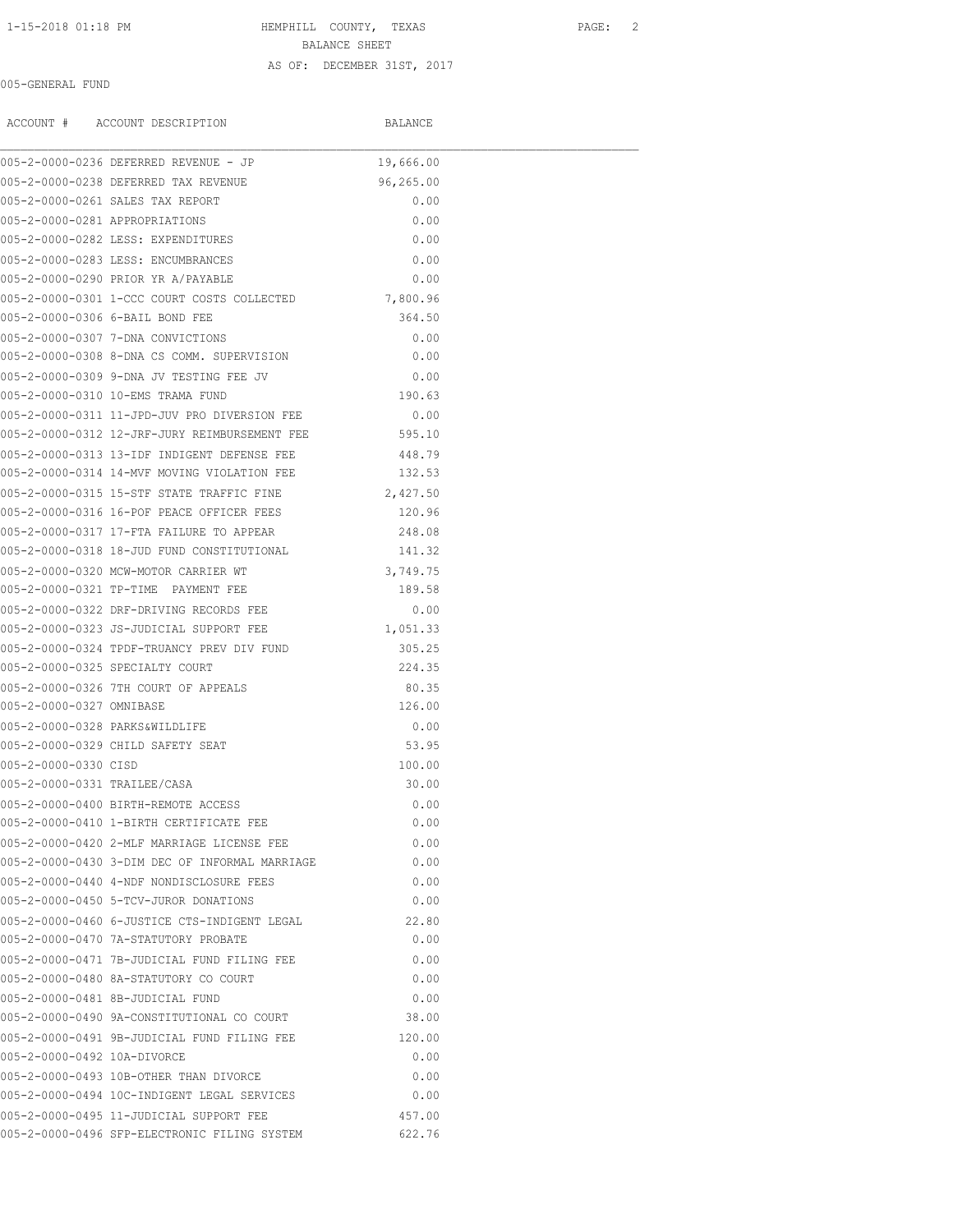## AS OF: DECEMBER 31ST, 2017

## 005-GENERAL FUND

ACCOUNT # ACCOUNT DESCRIPTION BALANCE  $\mathcal{L}_\mathcal{L} = \mathcal{L}_\mathcal{L}$ 005-2-0000-0236 DEFERRED REVENUE - JP 19,666.00 005-2-0000-0238 DEFERRED TAX REVENUE 96,265.00 005-2-0000-0261 SALES TAX REPORT 0.00 005-2-0000-0281 APPROPRIATIONS 0.00 005-2-0000-0282 LESS: EXPENDITURES 0.00 005-2-0000-0283 LESS: ENCUMBRANCES 0.00 005-2-0000-0290 PRIOR YR A/PAYABLE 0.00 005-2-0000-0301 1-CCC COURT COSTS COLLECTED 7,800.96 005-2-0000-0306 6-BAIL BOND FEE 364.50 005-2-0000-0307 7-DNA CONVICTIONS 0.00 005-2-0000-0308 8-DNA CS COMM. SUPERVISION 0.00 005-2-0000-0309 9-DNA JV TESTING FEE JV 0.00 005-2-0000-0310 10-EMS TRAMA FUND 190.63 005-2-0000-0311 11-JPD-JUV PRO DIVERSION FEE 0.00 005-2-0000-0312 12-JRF-JURY REIMBURSEMENT FEE 595.10 005-2-0000-0313 13-IDF INDIGENT DEFENSE FEE 448.79 005-2-0000-0314 14-MVF MOVING VIOLATION FEE 132.53 005-2-0000-0315 15-STF STATE TRAFFIC FINE 2,427.50 005-2-0000-0316 16-POF PEACE OFFICER FEES 120.96 005-2-0000-0317 17-FTA FAILURE TO APPEAR 248.08 005-2-0000-0318 18-JUD FUND CONSTITUTIONAL 141.32 005-2-0000-0320 MCW-MOTOR CARRIER WT 3,749.75 005-2-0000-0321 TP-TIME PAYMENT FEE 189.58 005-2-0000-0322 DRF-DRIVING RECORDS FEE 0.00 005-2-0000-0323 JS-JUDICIAL SUPPORT FEE 1,051.33 005-2-0000-0324 TPDF-TRUANCY PREV DIV FUND 305.25 005-2-0000-0325 SPECIALTY COURT 224.35 005-2-0000-0326 7TH COURT OF APPEALS 80.35 005-2-0000-0327 OMNIBASE 126.00 005-2-0000-0328 PARKS&WILDLIFE 0.00 005-2-0000-0329 CHILD SAFETY SEAT 53.95 005-2-0000-0330 CISD 100.00 005-2-0000-0331 TRAILEE/CASA 30.00 005-2-0000-0400 BIRTH-REMOTE ACCESS 0.00 005-2-0000-0410 1-BIRTH CERTIFICATE FEE 0.00 005-2-0000-0420 2-MLF MARRIAGE LICENSE FEE 0.00 005-2-0000-0430 3-DIM DEC OF INFORMAL MARRIAGE 0.00 005-2-0000-0440 4-NDF NONDISCLOSURE FEES 0.00

005-2-0000-0450 5-TCV-JUROR DONATIONS 0.00 005-2-0000-0460 6-JUSTICE CTS-INDIGENT LEGAL 22.80 005-2-0000-0470 7A-STATUTORY PROBATE 0.00 005-2-0000-0471 7B-JUDICIAL FUND FILING FEE 0.00 005-2-0000-0480 8A-STATUTORY CO COURT 0.00 005-2-0000-0481 8B-JUDICIAL FUND 0.00 005-2-0000-0490 9A-CONSTITUTIONAL CO COURT 38.00 005-2-0000-0491 9B-JUDICIAL FUND FILING FEE 120.00 005-2-0000-0492 10A-DIVORCE 0.00 005-2-0000-0493 10B-OTHER THAN DIVORCE 0.00 005-2-0000-0494 10C-INDIGENT LEGAL SERVICES 0.00 005-2-0000-0495 11-JUDICIAL SUPPORT FEE 457.00 005-2-0000-0496 SFP-ELECTRONIC FILING SYSTEM 622.76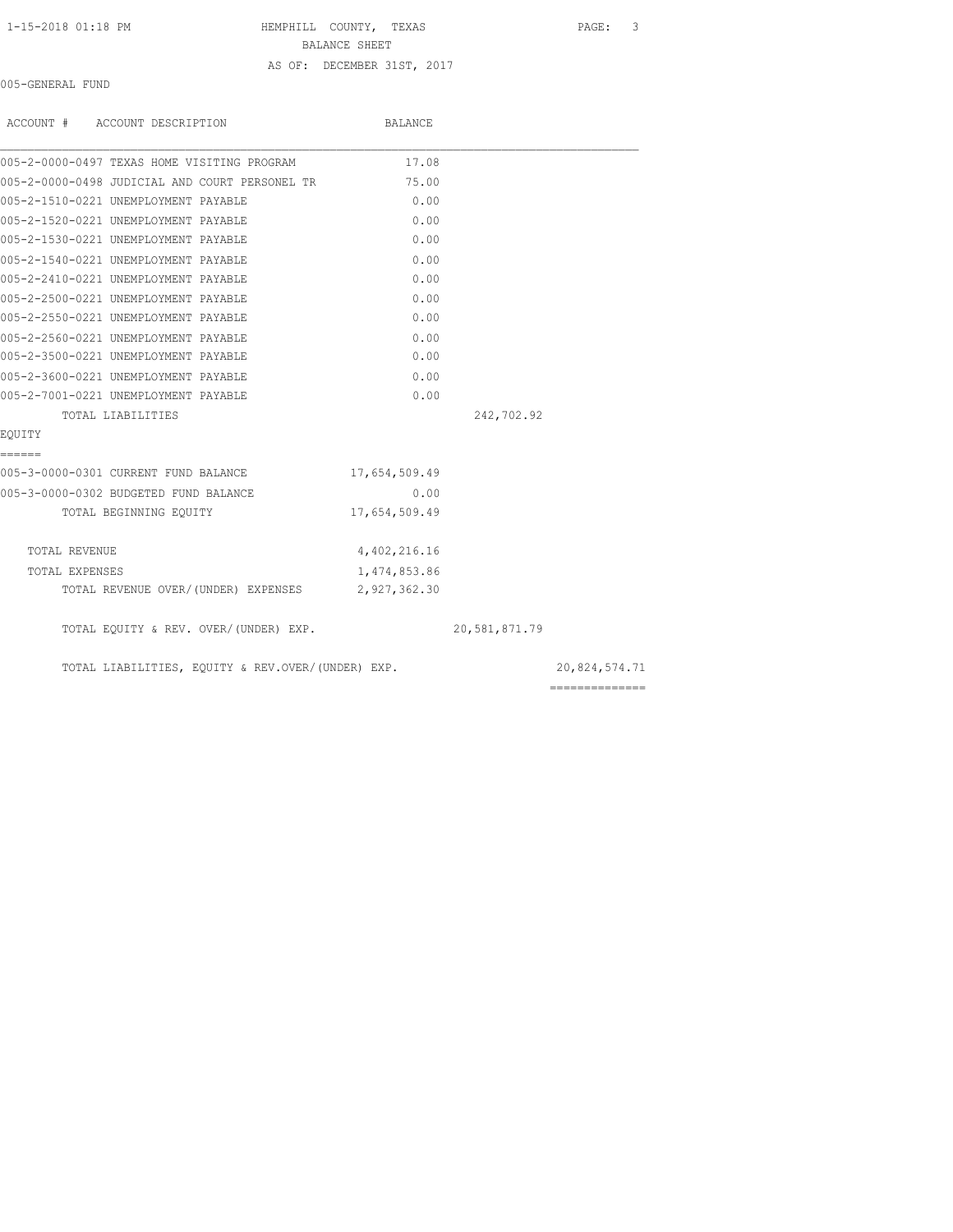### 1-15-2018 01:18 PM HEMPHILL COUNTY, TEXAS PAGE: 3

BALANCE SHEET

### AS OF: DECEMBER 31ST, 2017

005-GENERAL FUND

| ACCOUNT # ACCOUNT DESCRIPTION                     | BALANCE       |               |               |
|---------------------------------------------------|---------------|---------------|---------------|
| 005-2-0000-0497 TEXAS HOME VISITING PROGRAM       | 17.08         |               |               |
| 005-2-0000-0498 JUDICIAL AND COURT PERSONEL TR    | 75.00         |               |               |
| 005-2-1510-0221 UNEMPLOYMENT PAYABLE              | 0.00          |               |               |
| 005-2-1520-0221 UNEMPLOYMENT PAYABLE              | 0.00          |               |               |
| 005-2-1530-0221 UNEMPLOYMENT PAYABLE              | 0.00          |               |               |
| 005-2-1540-0221 UNEMPLOYMENT PAYABLE              | 0.00          |               |               |
| 005-2-2410-0221 UNEMPLOYMENT PAYABLE              | 0.00          |               |               |
| 005-2-2500-0221 UNEMPLOYMENT PAYABLE              | 0.00          |               |               |
| 005-2-2550-0221 UNEMPLOYMENT PAYABLE              | 0.00          |               |               |
| 005-2-2560-0221 UNEMPLOYMENT PAYABLE              | 0.00          |               |               |
| 005-2-3500-0221 UNEMPLOYMENT PAYABLE              | 0.00          |               |               |
| 005-2-3600-0221 UNEMPLOYMENT PAYABLE              | 0.00          |               |               |
| 005-2-7001-0221 UNEMPLOYMENT PAYABLE              | 0.00          |               |               |
| TOTAL LIABILITIES                                 |               | 242,702.92    |               |
| EOUITY                                            |               |               |               |
| ======                                            |               |               |               |
| 005-3-0000-0301 CURRENT FUND BALANCE              | 17,654,509.49 |               |               |
| 005-3-0000-0302 BUDGETED FUND BALANCE             | 0.00          |               |               |
| TOTAL BEGINNING EQUITY                            | 17,654,509.49 |               |               |
| TOTAL REVENUE                                     | 4,402,216.16  |               |               |
| TOTAL EXPENSES                                    | 1,474,853.86  |               |               |
| TOTAL REVENUE OVER/(UNDER) EXPENSES 2,927,362.30  |               |               |               |
| TOTAL EQUITY & REV. OVER/(UNDER) EXP.             |               | 20,581,871.79 |               |
| TOTAL LIABILITIES, EQUITY & REV.OVER/(UNDER) EXP. |               |               | 20,824,574.71 |
|                                                   |               |               |               |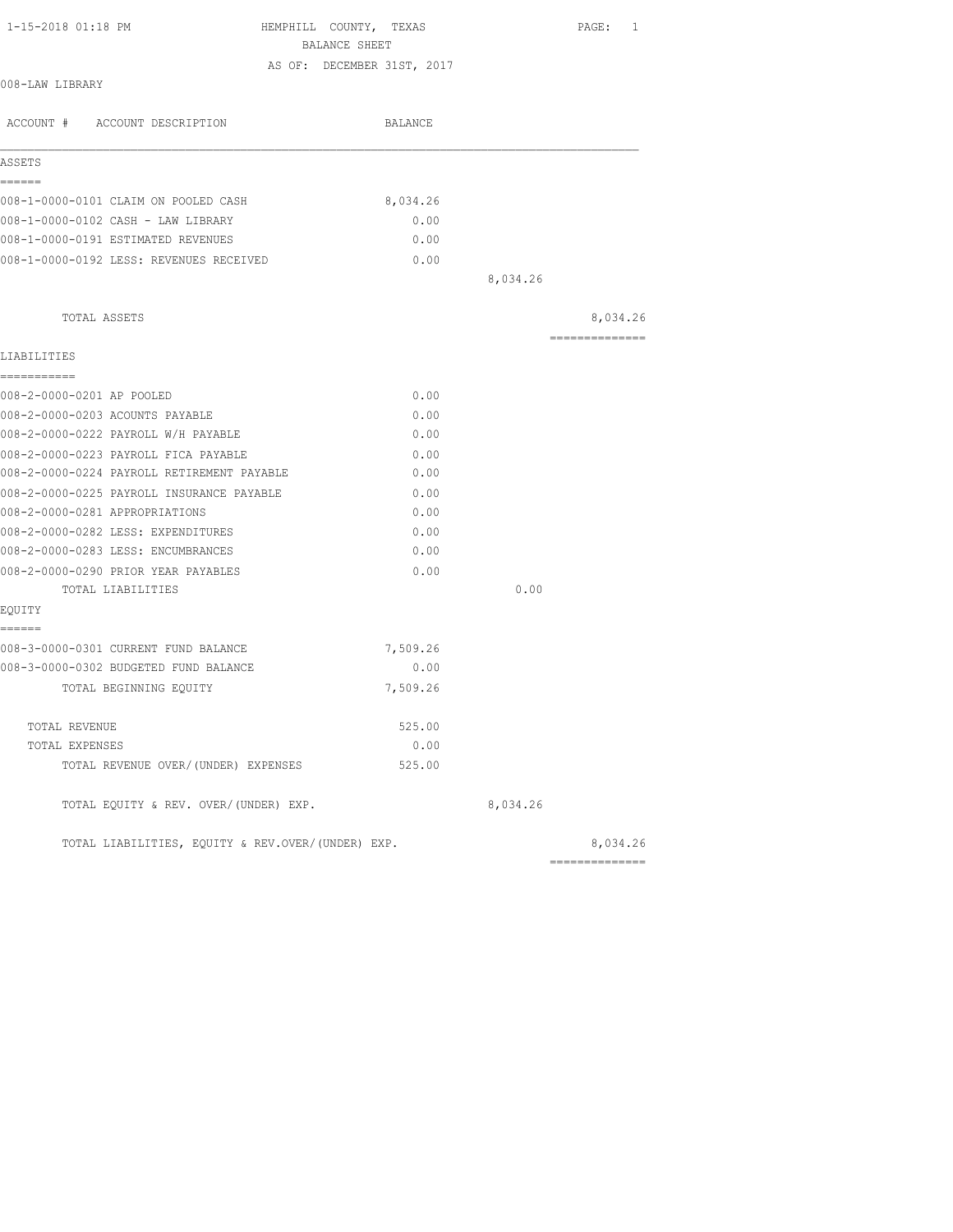| 1-15-2018 01:18 PM                                | HEMPHILL COUNTY, TEXAS     | PAGE: 1        |
|---------------------------------------------------|----------------------------|----------------|
|                                                   | BALANCE SHEET              |                |
| 008-LAW LIBRARY                                   | AS OF: DECEMBER 31ST, 2017 |                |
| ACCOUNT # ACCOUNT DESCRIPTION                     | BALANCE                    |                |
| ASSETS                                            |                            |                |
| ======<br>008-1-0000-0101 CLAIM ON POOLED CASH    | 8,034.26                   |                |
| 008-1-0000-0102 CASH - LAW LIBRARY                | 0.00                       |                |
| 008-1-0000-0191 ESTIMATED REVENUES                | 0.00                       |                |
| 008-1-0000-0192 LESS: REVENUES RECEIVED           | 0.00                       |                |
|                                                   |                            | 8,034.26       |
| TOTAL ASSETS                                      |                            | 8,034.26       |
| LIABILITIES                                       |                            | -------------- |
| -----------                                       |                            |                |
| 008-2-0000-0201 AP POOLED                         | 0.00                       |                |
| 008-2-0000-0203 ACOUNTS PAYABLE                   | 0.00                       |                |
| 008-2-0000-0222 PAYROLL W/H PAYABLE               | 0.00                       |                |
| 008-2-0000-0223 PAYROLL FICA PAYABLE              | 0.00                       |                |
| 008-2-0000-0224 PAYROLL RETIREMENT PAYABLE        | 0.00                       |                |
| 008-2-0000-0225 PAYROLL INSURANCE PAYABLE         | 0.00                       |                |
| 008-2-0000-0281 APPROPRIATIONS                    | 0.00                       |                |
| 008-2-0000-0282 LESS: EXPENDITURES                | 0.00                       |                |
| 008-2-0000-0283 LESS: ENCUMBRANCES                | 0.00                       |                |
| 008-2-0000-0290 PRIOR YEAR PAYABLES               | 0.00                       |                |
| TOTAL LIABILITIES                                 |                            | 0.00           |
| EQUITY<br>======                                  |                            |                |
| 008-3-0000-0301 CURRENT FUND BALANCE              | 7,509.26                   |                |
| 008-3-0000-0302 BUDGETED FUND BALANCE             | 0.00                       |                |
| TOTAL BEGINNING EOUITY                            | 7,509.26                   |                |
| TOTAL REVENUE                                     | 525.00                     |                |
| TOTAL EXPENSES                                    | 0.00                       |                |
| TOTAL REVENUE OVER/(UNDER) EXPENSES               | 525.00                     |                |
| TOTAL EQUITY & REV. OVER/(UNDER) EXP.             |                            | 8,034.26       |
| TOTAL LIABILITIES, EQUITY & REV.OVER/(UNDER) EXP. |                            | 8,034.26       |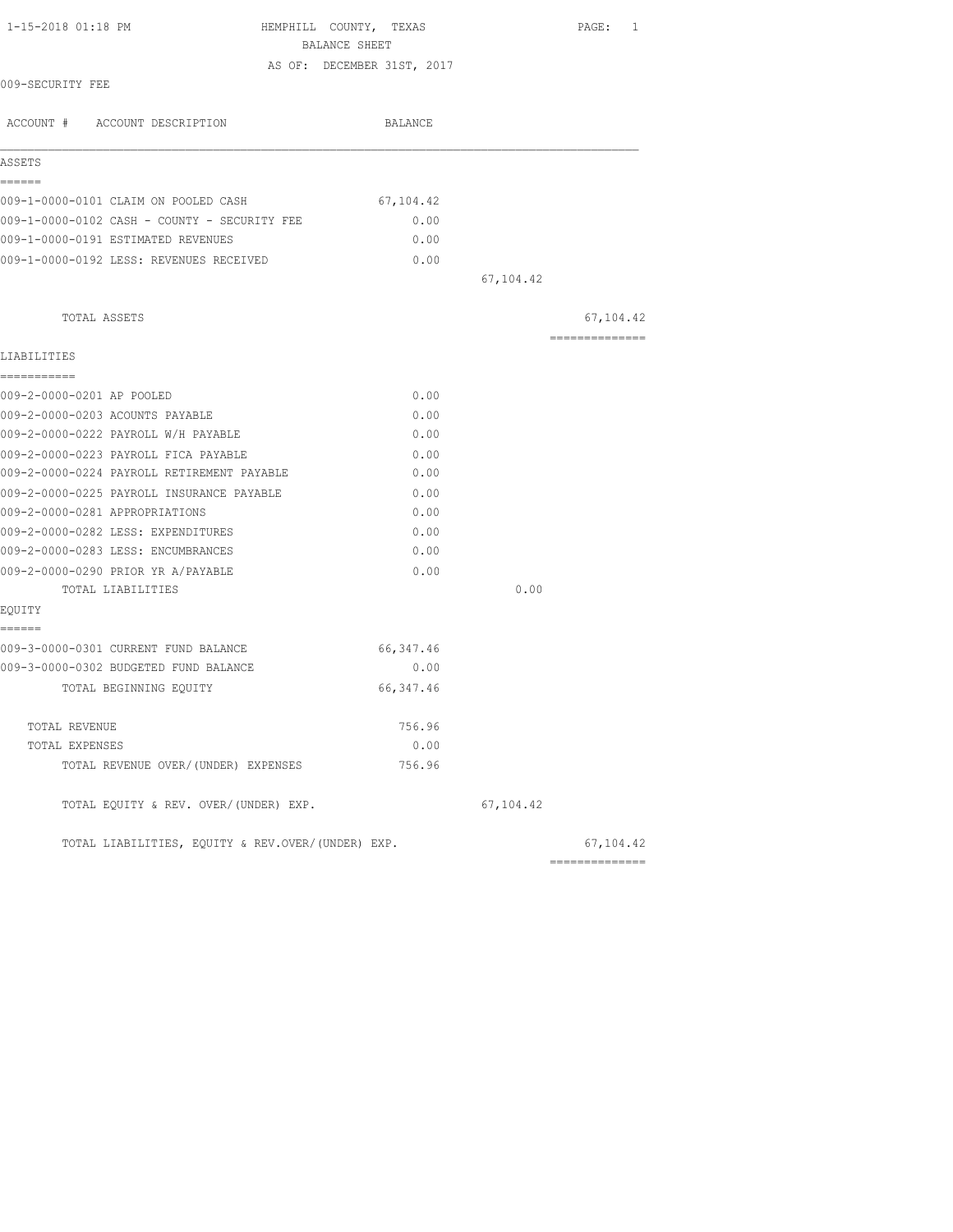| 1-15-2018 01:18 PM                                                          | HEMPHILL COUNTY, TEXAS                      |           | PAGE: 1        |
|-----------------------------------------------------------------------------|---------------------------------------------|-----------|----------------|
|                                                                             | BALANCE SHEET<br>AS OF: DECEMBER 31ST, 2017 |           |                |
| 009-SECURITY FEE                                                            |                                             |           |                |
| ACCOUNT # ACCOUNT DESCRIPTION                                               | BALANCE                                     |           |                |
| ASSETS                                                                      |                                             |           |                |
| ======<br>009-1-0000-0101 CLAIM ON POOLED CASH                              | 67,104.42                                   |           |                |
| 009-1-0000-0102 CASH - COUNTY - SECURITY FEE                                | 0.00                                        |           |                |
| 009-1-0000-0191 ESTIMATED REVENUES                                          | 0.00                                        |           |                |
| 009-1-0000-0192 LESS: REVENUES RECEIVED                                     | 0.00                                        |           |                |
|                                                                             |                                             | 67,104.42 |                |
| TOTAL ASSETS                                                                |                                             |           | 67, 104.42     |
| LIABILITIES                                                                 |                                             |           | -------------- |
| ===========                                                                 |                                             |           |                |
| 009-2-0000-0201 AP POOLED                                                   | 0.00                                        |           |                |
| 009-2-0000-0203 ACOUNTS PAYABLE                                             | 0.00                                        |           |                |
| 009-2-0000-0222 PAYROLL W/H PAYABLE                                         | 0.00                                        |           |                |
| 009-2-0000-0223 PAYROLL FICA PAYABLE                                        | 0.00                                        |           |                |
| 009-2-0000-0224 PAYROLL RETIREMENT PAYABLE                                  | 0.00                                        |           |                |
| 009-2-0000-0225 PAYROLL INSURANCE PAYABLE<br>009-2-0000-0281 APPROPRIATIONS | 0.00<br>0.00                                |           |                |
| 009-2-0000-0282 LESS: EXPENDITURES                                          | 0.00                                        |           |                |
| 009-2-0000-0283 LESS: ENCUMBRANCES                                          | 0.00                                        |           |                |
| 009-2-0000-0290 PRIOR YR A/PAYABLE                                          | 0.00                                        |           |                |
| TOTAL LIABILITIES                                                           |                                             | 0.00      |                |
| EQUITY                                                                      |                                             |           |                |
| ======<br>009-3-0000-0301 CURRENT FUND BALANCE                              | 66,347.46                                   |           |                |
| 009-3-0000-0302 BUDGETED FUND BALANCE                                       | 0.00                                        |           |                |
| TOTAL BEGINNING EQUITY                                                      | 66, 347.46                                  |           |                |
| TOTAL REVENUE                                                               | 756.96                                      |           |                |
| TOTAL EXPENSES                                                              | 0.00                                        |           |                |
| TOTAL REVENUE OVER/(UNDER) EXPENSES                                         | 756.96                                      |           |                |
| TOTAL EQUITY & REV. OVER/(UNDER) EXP.                                       |                                             | 67,104.42 |                |
| TOTAL LIABILITIES, EQUITY & REV.OVER/(UNDER) EXP.                           |                                             |           | 67,104.42      |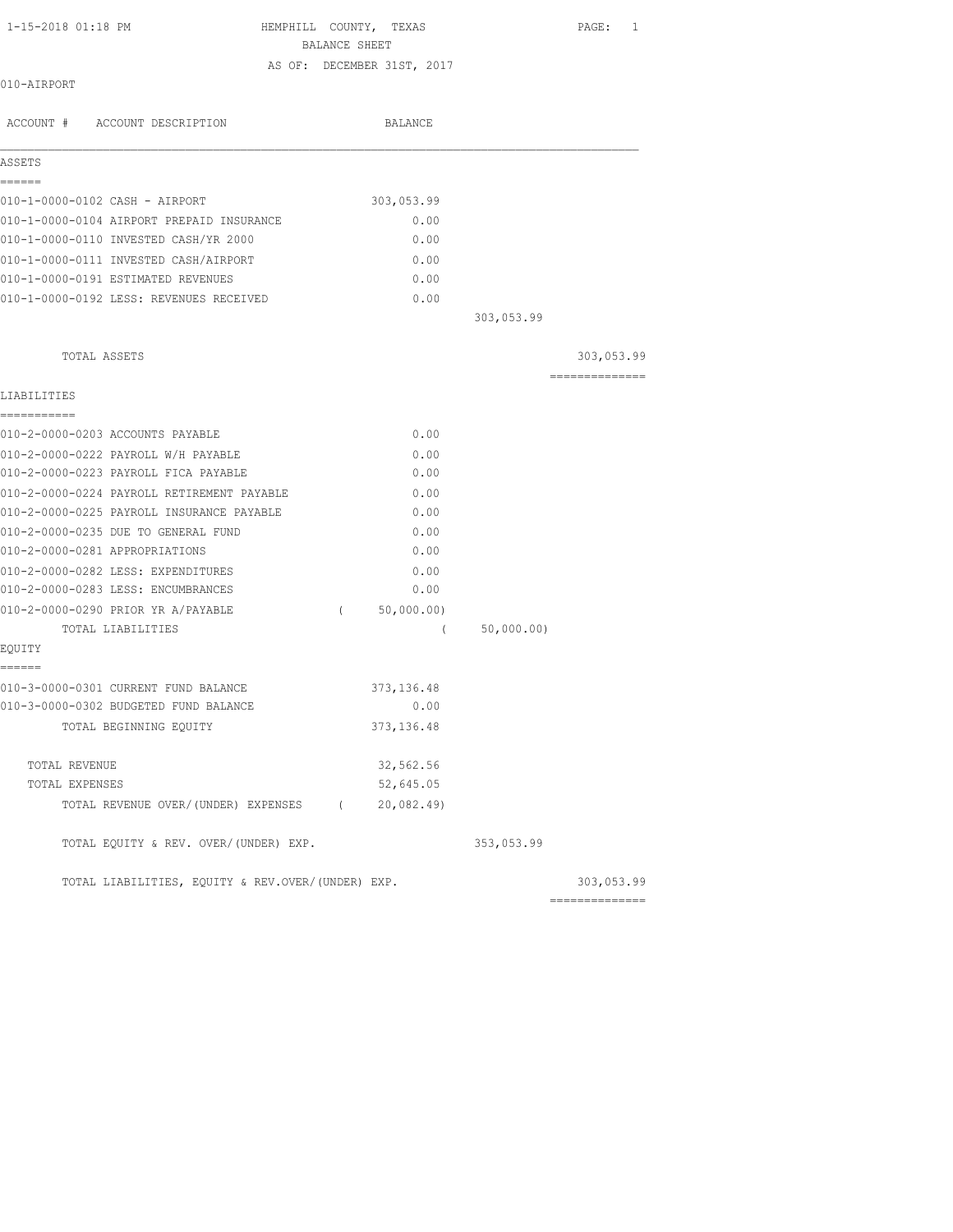HEMPHILL COUNTY, TEXAS PAGE: 1

BALANCE SHEET

AS OF: DECEMBER 31ST, 2017

010-AIRPORT

| ACCOUNT # ACCOUNT DESCRIPTION                     |          | <b>BALANCE</b> |            |                |
|---------------------------------------------------|----------|----------------|------------|----------------|
| ASSETS                                            |          |                |            |                |
| ------<br>010-1-0000-0102 CASH - AIRPORT          |          | 303,053.99     |            |                |
| 010-1-0000-0104 AIRPORT PREPAID INSURANCE         |          | 0.00           |            |                |
| 010-1-0000-0110 INVESTED CASH/YR 2000             |          | 0.00           |            |                |
| 010-1-0000-0111 INVESTED CASH/AIRPORT             |          | 0.00           |            |                |
| 010-1-0000-0191 ESTIMATED REVENUES                |          | 0.00           |            |                |
| 010-1-0000-0192 LESS: REVENUES RECEIVED           |          | 0.00           |            |                |
|                                                   |          |                | 303,053.99 |                |
|                                                   |          |                |            |                |
| TOTAL ASSETS                                      |          |                |            | 303,053.99     |
| LIABILITIES                                       |          |                |            | ============== |
| ------------                                      |          |                |            |                |
| 010-2-0000-0203 ACCOUNTS PAYABLE                  |          | 0.00           |            |                |
| 010-2-0000-0222 PAYROLL W/H PAYABLE               |          | 0.00           |            |                |
| 010-2-0000-0223 PAYROLL FICA PAYABLE              |          | 0.00           |            |                |
| 010-2-0000-0224 PAYROLL RETIREMENT PAYABLE        |          | 0.00           |            |                |
| 010-2-0000-0225 PAYROLL INSURANCE PAYABLE         |          | 0.00           |            |                |
| 010-2-0000-0235 DUE TO GENERAL FUND               |          | 0.00           |            |                |
| 010-2-0000-0281 APPROPRIATIONS                    |          | 0.00           |            |                |
| 010-2-0000-0282 LESS: EXPENDITURES                |          | 0.00           |            |                |
| 010-2-0000-0283 LESS: ENCUMBRANCES                |          | 0.00           |            |                |
| 010-2-0000-0290 PRIOR YR A/PAYABLE                | $\left($ | 50,000.00)     |            |                |
| TOTAL LIABILITIES                                 |          | $\left($       | 50,000.00) |                |
| EQUITY                                            |          |                |            |                |
| ======                                            |          |                |            |                |
| 010-3-0000-0301 CURRENT FUND BALANCE              |          | 373, 136.48    |            |                |
| 010-3-0000-0302 BUDGETED FUND BALANCE             |          | 0.00           |            |                |
| TOTAL BEGINNING EQUITY                            |          | 373, 136.48    |            |                |
| TOTAL REVENUE                                     |          | 32,562.56      |            |                |
| TOTAL EXPENSES                                    |          | 52,645.05      |            |                |
| TOTAL REVENUE OVER/(UNDER) EXPENSES (20,082.49)   |          |                |            |                |
| TOTAL EQUITY & REV. OVER/(UNDER) EXP.             |          |                | 353,053.99 |                |
| TOTAL LIABILITIES, EQUITY & REV.OVER/(UNDER) EXP. |          |                |            | 303,053.99     |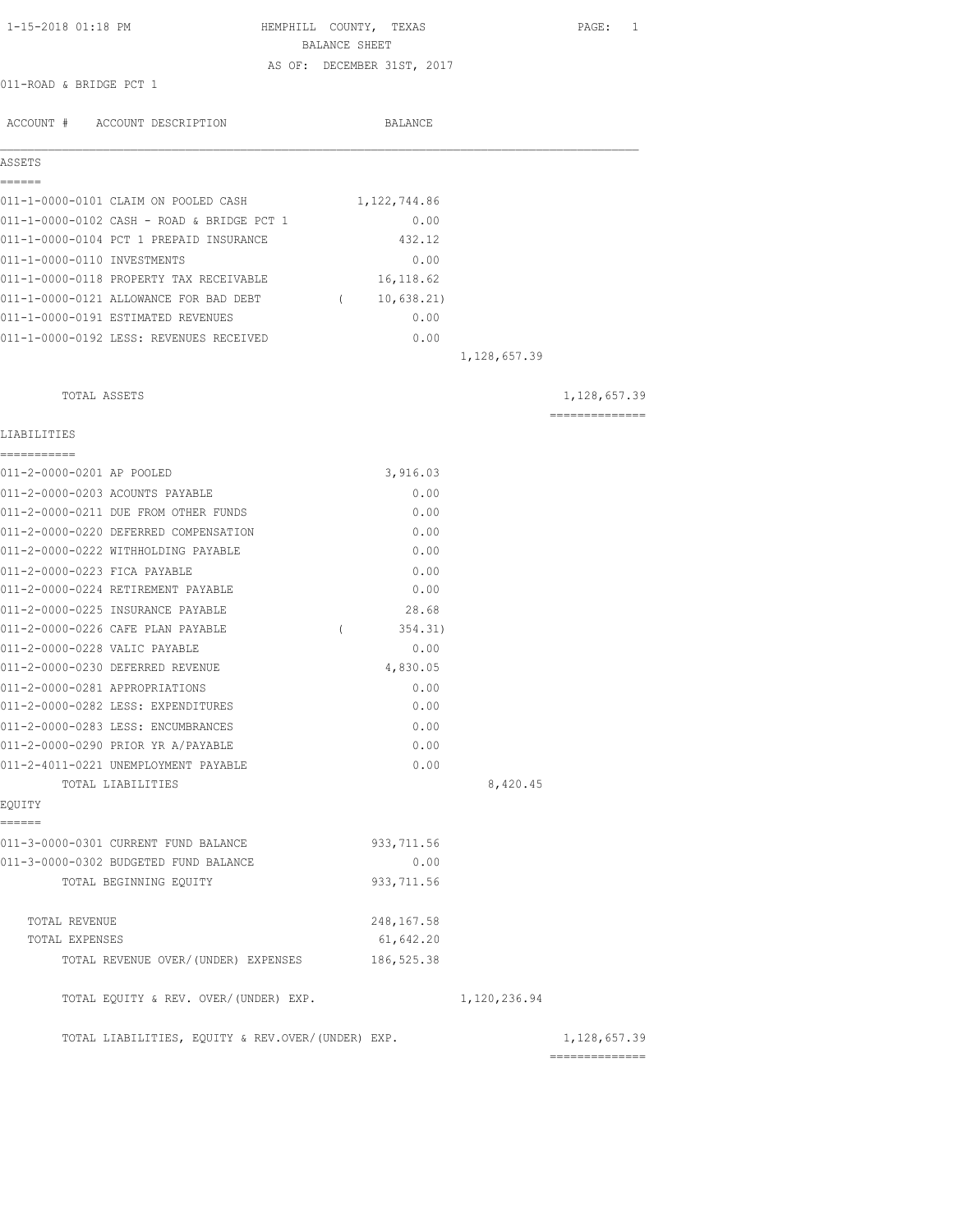| 1-15-2018 01:18 PM                                | HEMPHILL COUNTY, TEXAS     |                | PAGE: 1                           |
|---------------------------------------------------|----------------------------|----------------|-----------------------------------|
|                                                   | BALANCE SHEET              |                |                                   |
| 011-ROAD & BRIDGE PCT 1                           | AS OF: DECEMBER 31ST, 2017 |                |                                   |
|                                                   |                            |                |                                   |
| ACCOUNT # ACCOUNT DESCRIPTION                     | BALANCE                    |                |                                   |
| ASSETS                                            |                            |                |                                   |
| ======<br>011-1-0000-0101 CLAIM ON POOLED CASH    | 1,122,744.86               |                |                                   |
| 011-1-0000-0102 CASH - ROAD & BRIDGE PCT 1        | 0.00                       |                |                                   |
| 011-1-0000-0104 PCT 1 PREPAID INSURANCE           | 432.12                     |                |                                   |
| 011-1-0000-0110 INVESTMENTS                       | 0.00                       |                |                                   |
| 011-1-0000-0118 PROPERTY TAX RECEIVABLE           | 16,118.62                  |                |                                   |
| 011-1-0000-0121 ALLOWANCE FOR BAD DEBT            | (10, 638.21)               |                |                                   |
| 011-1-0000-0191 ESTIMATED REVENUES                | 0.00                       |                |                                   |
| 011-1-0000-0192 LESS: REVENUES RECEIVED           | 0.00                       |                |                                   |
|                                                   |                            | 1, 128, 657.39 |                                   |
| <b>TOTAL ASSETS</b>                               |                            |                | 1,128,657.39                      |
| LIABILITIES                                       |                            |                | ==============                    |
| 011-2-0000-0201 AP POOLED                         | 3,916.03                   |                |                                   |
| 011-2-0000-0203 ACOUNTS PAYABLE                   | 0.00                       |                |                                   |
| 011-2-0000-0211 DUE FROM OTHER FUNDS              | 0.00                       |                |                                   |
| 011-2-0000-0220 DEFERRED COMPENSATION             | 0.00                       |                |                                   |
| 011-2-0000-0222 WITHHOLDING PAYABLE               | 0.00                       |                |                                   |
| 011-2-0000-0223 FICA PAYABLE                      | 0.00                       |                |                                   |
| 011-2-0000-0224 RETIREMENT PAYABLE                | 0.00                       |                |                                   |
| 011-2-0000-0225 INSURANCE PAYABLE                 | 28.68                      |                |                                   |
| 011-2-0000-0226 CAFE PLAN PAYABLE                 | 354.31)<br>$\left($        |                |                                   |
| 011-2-0000-0228 VALIC PAYABLE                     | 0.00                       |                |                                   |
| 011-2-0000-0230 DEFERRED REVENUE                  | 4,830.05                   |                |                                   |
| 011-2-0000-0281 APPROPRIATIONS                    | 0.00                       |                |                                   |
| 011-2-0000-0282 LESS: EXPENDITURES                | 0.00                       |                |                                   |
| 011-2-0000-0283 LESS: ENCUMBRANCES                | 0.00                       |                |                                   |
| 011-2-0000-0290 PRIOR YR A/PAYABLE                | 0.00                       |                |                                   |
| 011-2-4011-0221 UNEMPLOYMENT PAYABLE              | 0.00                       |                |                                   |
| TOTAL LIABILITIES                                 |                            | 8,420.45       |                                   |
| EQUITY<br>======                                  |                            |                |                                   |
| 011-3-0000-0301 CURRENT FUND BALANCE              | 933, 711.56                |                |                                   |
| 011-3-0000-0302 BUDGETED FUND BALANCE             | 0.00                       |                |                                   |
| TOTAL BEGINNING EQUITY                            | 933, 711.56                |                |                                   |
| TOTAL REVENUE                                     | 248, 167.58                |                |                                   |
| TOTAL EXPENSES                                    | 61,642.20                  |                |                                   |
| TOTAL REVENUE OVER/(UNDER) EXPENSES               | 186, 525.38                |                |                                   |
| TOTAL EQUITY & REV. OVER/(UNDER) EXP.             |                            | 1,120,236.94   |                                   |
| TOTAL LIABILITIES, EQUITY & REV.OVER/(UNDER) EXP. |                            |                | 1, 128, 657.39<br>--------------- |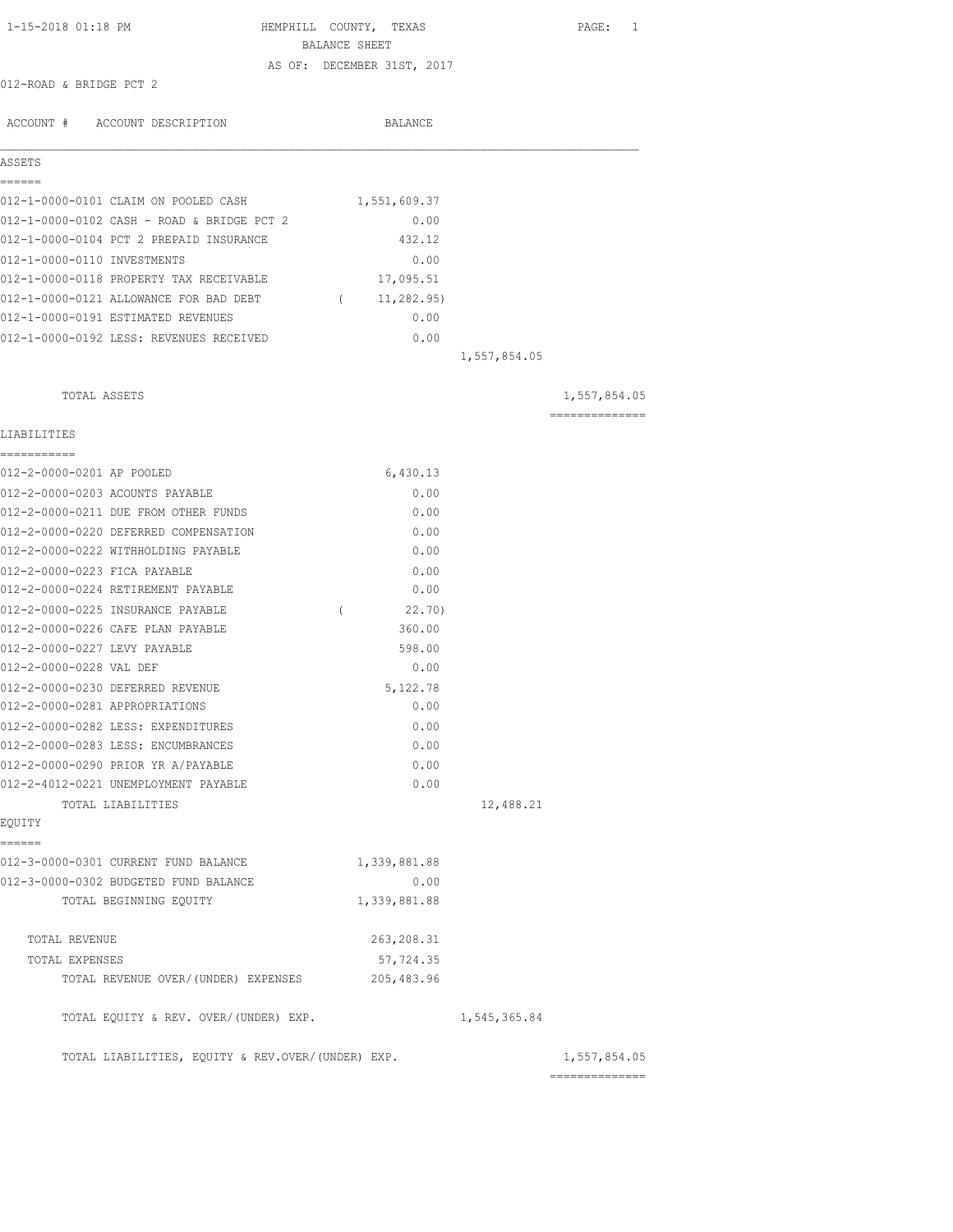| 1-15-2018 01:18 PM                                                           | HEMPHILL COUNTY, TEXAS     |              | PAGE: 1        |
|------------------------------------------------------------------------------|----------------------------|--------------|----------------|
|                                                                              | BALANCE SHEET              |              |                |
| 012-ROAD & BRIDGE PCT 2                                                      | AS OF: DECEMBER 31ST, 2017 |              |                |
|                                                                              |                            |              |                |
| ACCOUNT # ACCOUNT DESCRIPTION                                                | <b>BALANCE</b>             |              |                |
| ASSETS                                                                       |                            |              |                |
| ------                                                                       |                            |              |                |
| 012-1-0000-0101 CLAIM ON POOLED CASH                                         | 1,551,609.37               |              |                |
| 012-1-0000-0102 CASH - ROAD & BRIDGE PCT 2                                   | 0.00                       |              |                |
| 012-1-0000-0104 PCT 2 PREPAID INSURANCE                                      | 432.12                     |              |                |
| 012-1-0000-0110 INVESTMENTS<br>012-1-0000-0118 PROPERTY TAX RECEIVABLE       | 0.00                       |              |                |
|                                                                              | 17,095.51                  |              |                |
| 012-1-0000-0121 ALLOWANCE FOR BAD DEBT<br>012-1-0000-0191 ESTIMATED REVENUES | (11, 282.95)<br>0.00       |              |                |
| 012-1-0000-0192 LESS: REVENUES RECEIVED                                      | 0.00                       |              |                |
|                                                                              |                            | 1,557,854.05 |                |
|                                                                              |                            |              |                |
| TOTAL ASSETS                                                                 |                            |              | 1,557,854.05   |
| LIABILITIES                                                                  |                            |              | ============== |
| ------------                                                                 |                            |              |                |
| 012-2-0000-0201 AP POOLED<br>012-2-0000-0203 ACOUNTS PAYABLE                 | 6,430.13                   |              |                |
| 012-2-0000-0211 DUE FROM OTHER FUNDS                                         | 0.00<br>0.00               |              |                |
| 012-2-0000-0220 DEFERRED COMPENSATION                                        | 0.00                       |              |                |
| 012-2-0000-0222 WITHHOLDING PAYABLE                                          | 0.00                       |              |                |
| 012-2-0000-0223 FICA PAYABLE                                                 | 0.00                       |              |                |
| 012-2-0000-0224 RETIREMENT PAYABLE                                           | 0.00                       |              |                |
| 012-2-0000-0225 INSURANCE PAYABLE                                            | 22.70)<br>$\left($         |              |                |
| 012-2-0000-0226 CAFE PLAN PAYABLE                                            | 360.00                     |              |                |
| 012-2-0000-0227 LEVY PAYABLE                                                 | 598.00                     |              |                |
| 012-2-0000-0228 VAL DEF                                                      | 0.00                       |              |                |
| 012-2-0000-0230 DEFERRED REVENUE                                             | 5,122.78                   |              |                |
| 012-2-0000-0281 APPROPRIATIONS                                               | 0.00                       |              |                |
| 012-2-0000-0282 LESS: EXPENDITURES                                           | 0.00                       |              |                |
| 012-2-0000-0283 LESS: ENCUMBRANCES                                           | 0.00                       |              |                |
| 012-2-0000-0290 PRIOR YR A/PAYABLE                                           | 0.00                       |              |                |
| 012-2-4012-0221 UNEMPLOYMENT PAYABLE                                         | 0.00                       |              |                |
| TOTAL LIABILITIES                                                            |                            | 12,488.21    |                |
| EQUITY                                                                       |                            |              |                |
| ======                                                                       |                            |              |                |
| 012-3-0000-0301 CURRENT FUND BALANCE                                         | 1,339,881.88               |              |                |
| 012-3-0000-0302 BUDGETED FUND BALANCE                                        | 0.00                       |              |                |
| TOTAL BEGINNING EQUITY                                                       | 1,339,881.88               |              |                |
| TOTAL REVENUE                                                                | 263, 208.31                |              |                |
| TOTAL EXPENSES                                                               | 57,724.35                  |              |                |
| TOTAL REVENUE OVER/ (UNDER) EXPENSES                                         | 205, 483.96                |              |                |
| TOTAL EQUITY & REV. OVER/(UNDER) EXP.                                        |                            | 1,545,365.84 |                |
| TOTAL LIABILITIES, EQUITY & REV.OVER/(UNDER) EXP.                            |                            |              | 1,557,854.05   |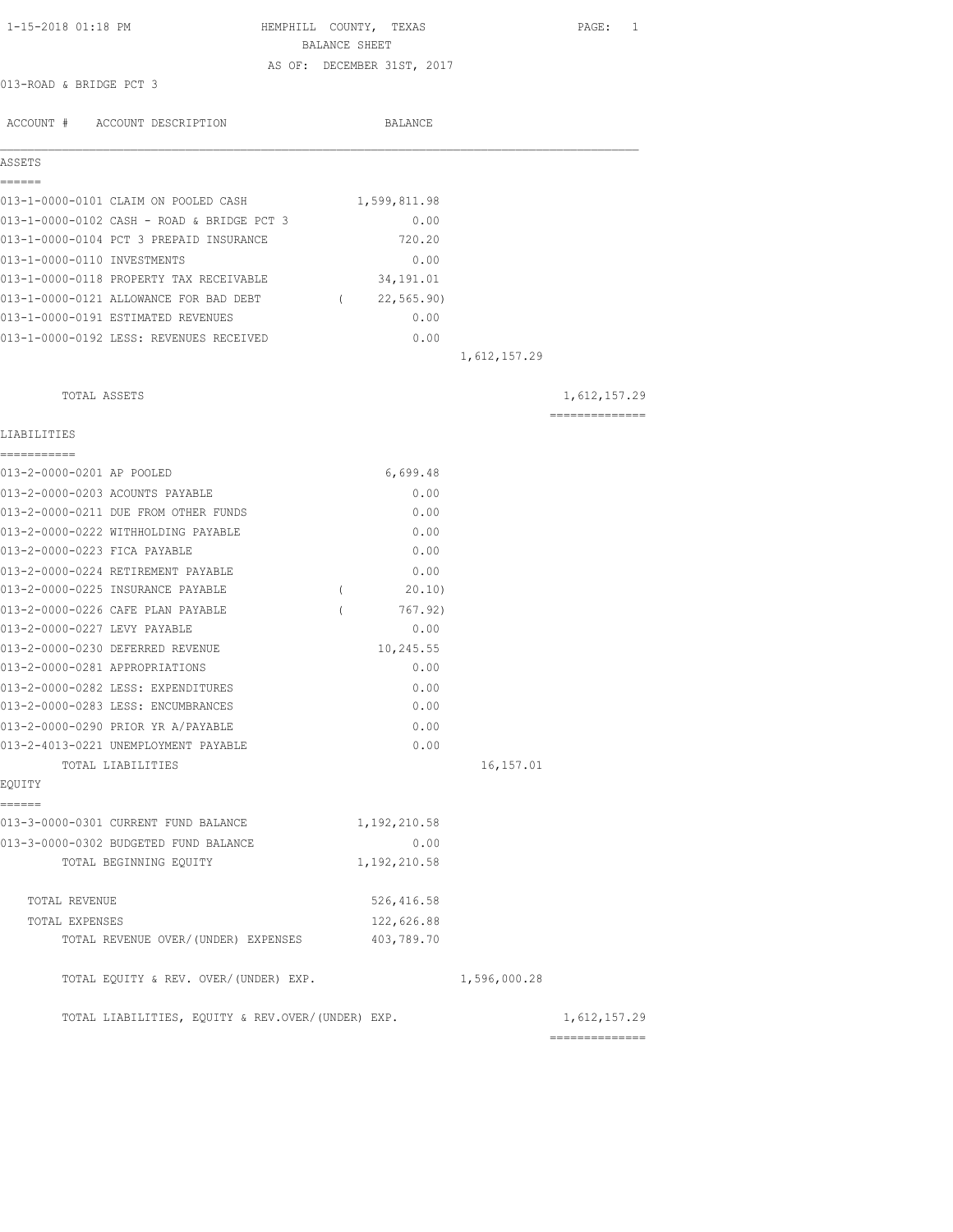| 1,612,157.29               |
|----------------------------|
| ==============             |
|                            |
|                            |
|                            |
|                            |
|                            |
|                            |
|                            |
|                            |
|                            |
|                            |
|                            |
|                            |
|                            |
|                            |
|                            |
|                            |
|                            |
|                            |
|                            |
|                            |
|                            |
|                            |
|                            |
|                            |
|                            |
|                            |
|                            |
|                            |
|                            |
|                            |
| 1,612,157.29               |
| 16, 157.01<br>1,596,000.28 |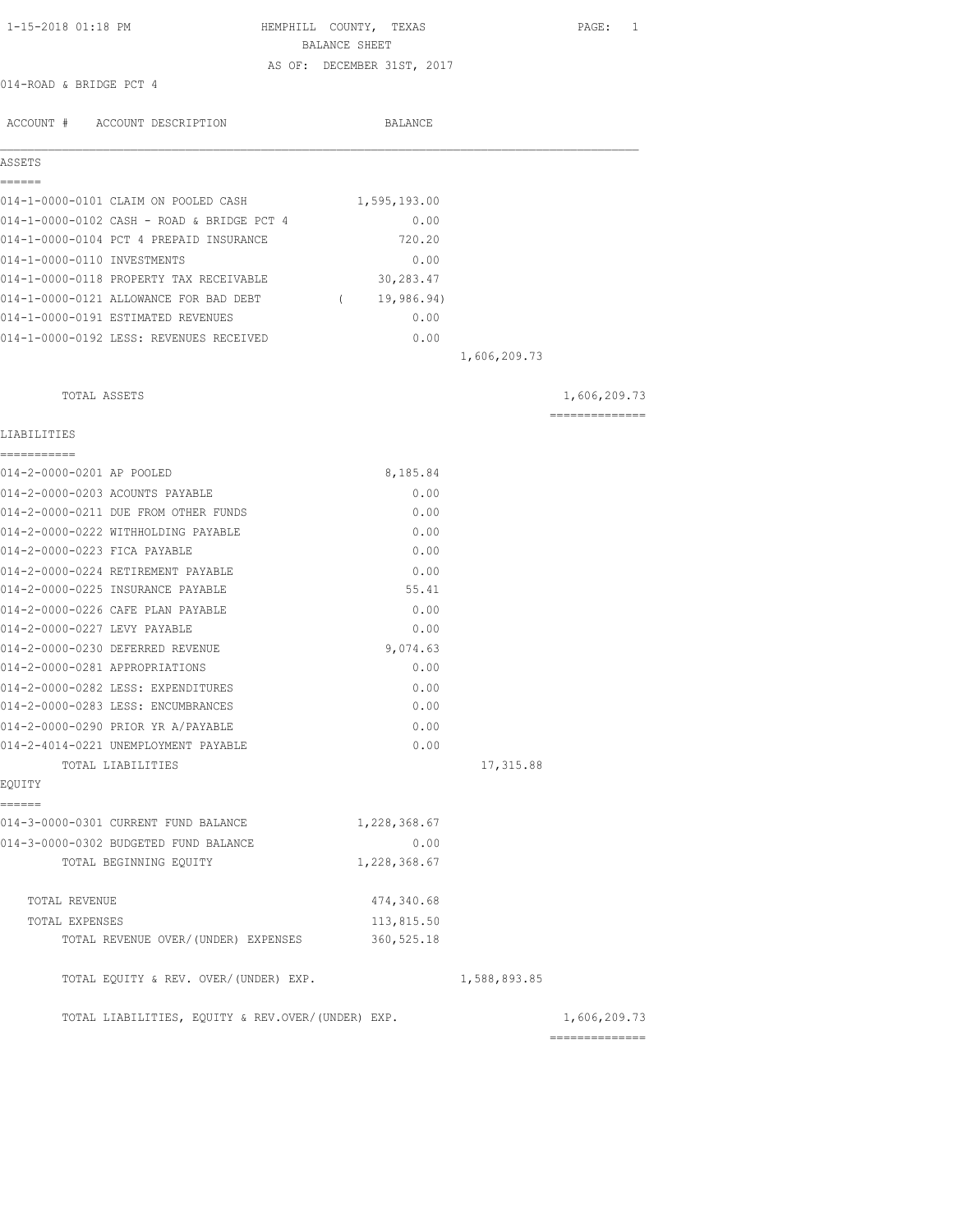| 1-15-2018 01:18 PM                                | HEMPHILL COUNTY, TEXAS<br>BALANCE SHEET |              | PAGE:<br>1     |
|---------------------------------------------------|-----------------------------------------|--------------|----------------|
|                                                   | AS OF: DECEMBER 31ST, 2017              |              |                |
| 014-ROAD & BRIDGE PCT 4                           |                                         |              |                |
|                                                   |                                         |              |                |
| ACCOUNT # ACCOUNT DESCRIPTION                     | BALANCE                                 |              |                |
|                                                   |                                         |              |                |
| ASSETS                                            |                                         |              |                |
| ======                                            |                                         |              |                |
| 014-1-0000-0101 CLAIM ON POOLED CASH              | 1,595,193.00                            |              |                |
| 014-1-0000-0102 CASH - ROAD & BRIDGE PCT 4        | 0.00                                    |              |                |
| 014-1-0000-0104 PCT 4 PREPAID INSURANCE           | 720.20                                  |              |                |
| 014-1-0000-0110 INVESTMENTS                       | 0.00                                    |              |                |
| 014-1-0000-0118 PROPERTY TAX RECEIVABLE           | 30,283.47                               |              |                |
| 014-1-0000-0121 ALLOWANCE FOR BAD DEBT            | (19, 986.94)                            |              |                |
| 014-1-0000-0191 ESTIMATED REVENUES                | 0.00                                    |              |                |
| 014-1-0000-0192 LESS: REVENUES RECEIVED           | 0.00                                    |              |                |
|                                                   |                                         | 1,606,209.73 |                |
|                                                   |                                         |              |                |
| TOTAL ASSETS                                      |                                         |              | 1,606,209.73   |
|                                                   |                                         |              | -------------- |
| LIABILITIES<br>===========                        |                                         |              |                |
| 014-2-0000-0201 AP POOLED                         | 8,185.84                                |              |                |
| 014-2-0000-0203 ACOUNTS PAYABLE                   | 0.00                                    |              |                |
| 014-2-0000-0211 DUE FROM OTHER FUNDS              | 0.00                                    |              |                |
| 014-2-0000-0222 WITHHOLDING PAYABLE               | 0.00                                    |              |                |
| 014-2-0000-0223 FICA PAYABLE                      | 0.00                                    |              |                |
| 014-2-0000-0224 RETIREMENT PAYABLE                | 0.00                                    |              |                |
| 014-2-0000-0225 INSURANCE PAYABLE                 | 55.41                                   |              |                |
| 014-2-0000-0226 CAFE PLAN PAYABLE                 | 0.00                                    |              |                |
| 014-2-0000-0227 LEVY PAYABLE                      | 0.00                                    |              |                |
| 014-2-0000-0230 DEFERRED REVENUE                  | 9,074.63                                |              |                |
| 014-2-0000-0281 APPROPRIATIONS                    | 0.00                                    |              |                |
| 014-2-0000-0282 LESS: EXPENDITURES                | 0.00                                    |              |                |
| 014-2-0000-0283 LESS: ENCUMBRANCES                | 0.00                                    |              |                |
| 014-2-0000-0290 PRIOR YR A/PAYABLE                | 0.00                                    |              |                |
| 014-2-4014-0221 UNEMPLOYMENT PAYABLE              | 0.00                                    |              |                |
| TOTAL LIABILITIES                                 |                                         | 17,315.88    |                |
| EQUITY                                            |                                         |              |                |
| ------                                            |                                         |              |                |
| 014-3-0000-0301 CURRENT FUND BALANCE              | 1,228,368.67                            |              |                |
| 014-3-0000-0302 BUDGETED FUND BALANCE             | 0.00                                    |              |                |
| TOTAL BEGINNING EOUITY                            | 1,228,368.67                            |              |                |
|                                                   |                                         |              |                |
| TOTAL REVENUE                                     | 474,340.68                              |              |                |
| TOTAL EXPENSES                                    | 113,815.50                              |              |                |
| TOTAL REVENUE OVER/(UNDER) EXPENSES               | 360, 525.18                             |              |                |
| TOTAL EQUITY & REV. OVER/(UNDER) EXP.             |                                         | 1,588,893.85 |                |
|                                                   |                                         |              |                |
| TOTAL LIABILITIES, EQUITY & REV.OVER/(UNDER) EXP. |                                         |              | 1,606,209.73   |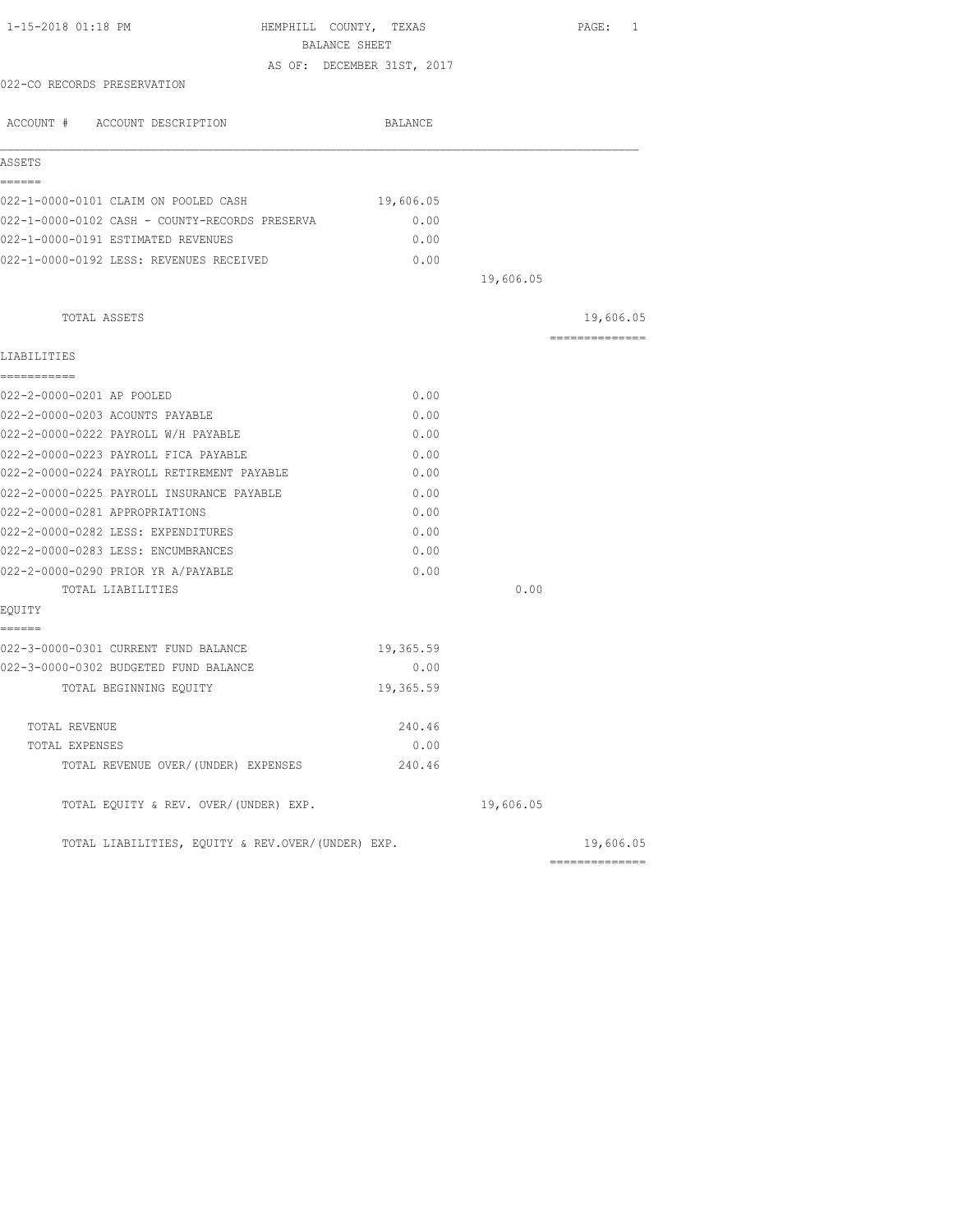| 1-15-2018 01:18 PM                                | HEMPHILL COUNTY, TEXAS<br>BALANCE SHEET | PAGE: 1        |
|---------------------------------------------------|-----------------------------------------|----------------|
|                                                   | AS OF: DECEMBER 31ST, 2017              |                |
| 022-CO RECORDS PRESERVATION                       |                                         |                |
| ACCOUNT # ACCOUNT DESCRIPTION                     | BALANCE                                 |                |
| ASSETS                                            |                                         |                |
| ======                                            |                                         |                |
| 022-1-0000-0101 CLAIM ON POOLED CASH              | 19,606.05                               |                |
| 022-1-0000-0102 CASH - COUNTY-RECORDS PRESERVA    | 0.00                                    |                |
| 022-1-0000-0191 ESTIMATED REVENUES                | 0.00                                    |                |
| 022-1-0000-0192 LESS: REVENUES RECEIVED           | 0.00                                    |                |
|                                                   | 19,606.05                               |                |
| TOTAL ASSETS                                      |                                         | 19,606.05      |
|                                                   |                                         | ============== |
| LIABILITIES<br>===========                        |                                         |                |
| 022-2-0000-0201 AP POOLED                         | 0.00                                    |                |
| 022-2-0000-0203 ACOUNTS PAYABLE                   | 0.00                                    |                |
| 022-2-0000-0222 PAYROLL W/H PAYABLE               | 0.00                                    |                |
| 022-2-0000-0223 PAYROLL FICA PAYABLE              | 0.00                                    |                |
| 022-2-0000-0224 PAYROLL RETIREMENT PAYABLE        | 0.00                                    |                |
| 022-2-0000-0225 PAYROLL INSURANCE PAYABLE         | 0.00                                    |                |
| 022-2-0000-0281 APPROPRIATIONS                    | 0.00                                    |                |
| 022-2-0000-0282 LESS: EXPENDITURES                | 0.00                                    |                |
| 022-2-0000-0283 LESS: ENCUMBRANCES                | 0.00                                    |                |
| 022-2-0000-0290 PRIOR YR A/PAYABLE                | 0.00                                    |                |
| TOTAL LIABILITIES                                 |                                         | 0.00           |
| EQUITY                                            |                                         |                |
| ======                                            |                                         |                |
| 022-3-0000-0301 CURRENT FUND BALANCE              | 19,365.59                               |                |
| 022-3-0000-0302 BUDGETED FUND BALANCE             | 0.00                                    |                |
| TOTAL BEGINNING EQUITY                            | 19,365.59                               |                |
| TOTAL REVENUE                                     | 240.46                                  |                |
| TOTAL EXPENSES                                    | 0.00                                    |                |
| TOTAL REVENUE OVER/(UNDER) EXPENSES               | 240.46                                  |                |
| TOTAL EQUITY & REV. OVER/(UNDER) EXP.             | 19,606.05                               |                |
| TOTAL LIABILITIES, EQUITY & REV.OVER/(UNDER) EXP. |                                         | 19,606.05      |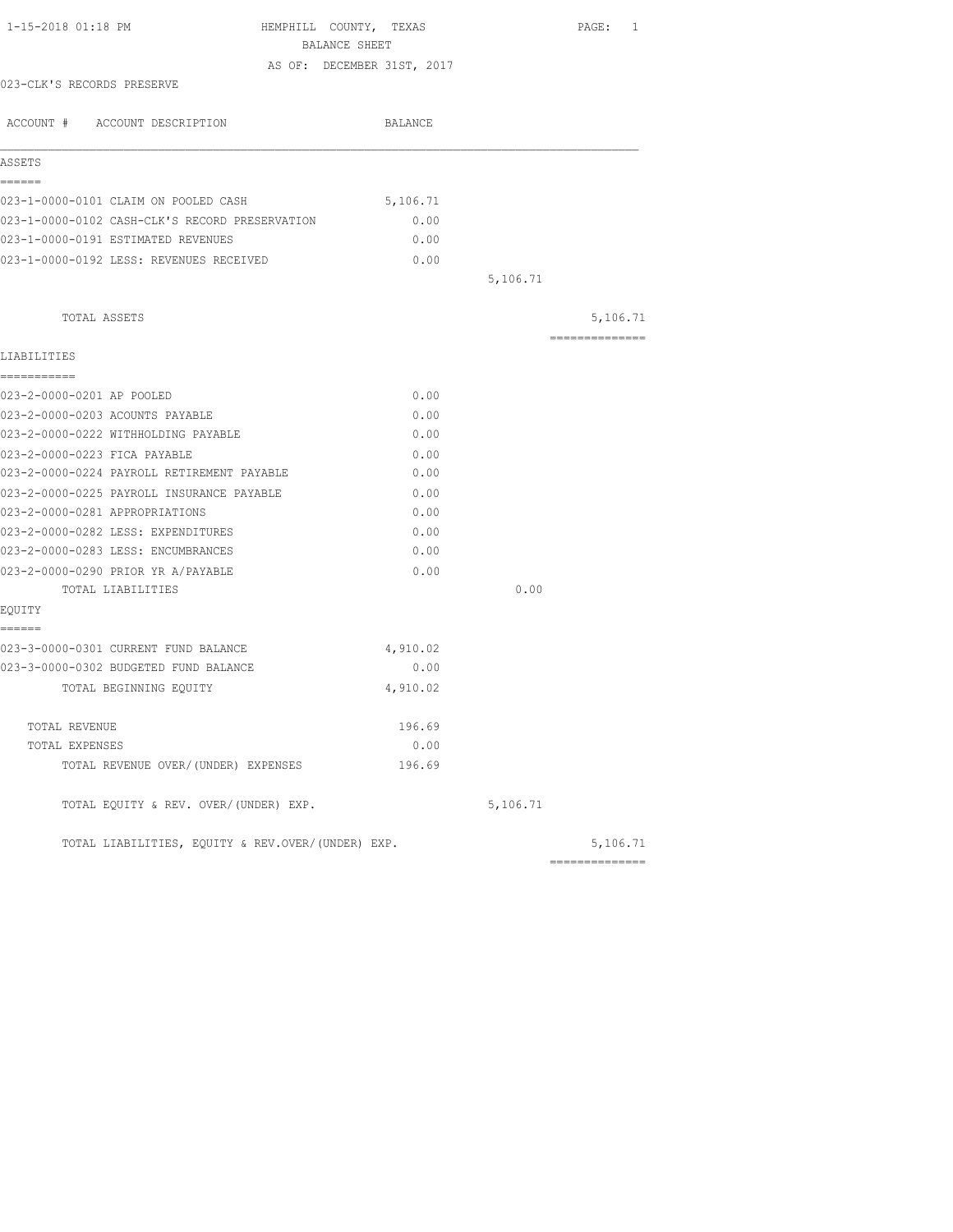| 1-15-2018 01:18 PM                                | HEMPHILL COUNTY, TEXAS     |        |          | PAGE: 1                                                                                                                                                                                                                                                                                                                                                                                                                                                                                |
|---------------------------------------------------|----------------------------|--------|----------|----------------------------------------------------------------------------------------------------------------------------------------------------------------------------------------------------------------------------------------------------------------------------------------------------------------------------------------------------------------------------------------------------------------------------------------------------------------------------------------|
|                                                   | BALANCE SHEET              |        |          |                                                                                                                                                                                                                                                                                                                                                                                                                                                                                        |
|                                                   | AS OF: DECEMBER 31ST, 2017 |        |          |                                                                                                                                                                                                                                                                                                                                                                                                                                                                                        |
| 023-CLK'S RECORDS PRESERVE                        |                            |        |          |                                                                                                                                                                                                                                                                                                                                                                                                                                                                                        |
| ACCOUNT # ACCOUNT DESCRIPTION                     | BALANCE                    |        |          |                                                                                                                                                                                                                                                                                                                                                                                                                                                                                        |
| ASSETS                                            |                            |        |          |                                                                                                                                                                                                                                                                                                                                                                                                                                                                                        |
| ======                                            |                            |        |          |                                                                                                                                                                                                                                                                                                                                                                                                                                                                                        |
| 023-1-0000-0101 CLAIM ON POOLED CASH              | 5,106.71                   |        |          |                                                                                                                                                                                                                                                                                                                                                                                                                                                                                        |
| 023-1-0000-0102 CASH-CLK'S RECORD PRESERVATION    |                            | 0.00   |          |                                                                                                                                                                                                                                                                                                                                                                                                                                                                                        |
| 023-1-0000-0191 ESTIMATED REVENUES                |                            | 0.00   |          |                                                                                                                                                                                                                                                                                                                                                                                                                                                                                        |
| 023-1-0000-0192 LESS: REVENUES RECEIVED           |                            | 0.00   |          |                                                                                                                                                                                                                                                                                                                                                                                                                                                                                        |
|                                                   |                            |        | 5,106.71 |                                                                                                                                                                                                                                                                                                                                                                                                                                                                                        |
| TOTAL ASSETS                                      |                            |        |          | 5,106.71                                                                                                                                                                                                                                                                                                                                                                                                                                                                               |
|                                                   |                            |        |          | $\begin{array}{cccccccccccccc} \multicolumn{2}{c}{} & \multicolumn{2}{c}{} & \multicolumn{2}{c}{} & \multicolumn{2}{c}{} & \multicolumn{2}{c}{} & \multicolumn{2}{c}{} & \multicolumn{2}{c}{} & \multicolumn{2}{c}{} & \multicolumn{2}{c}{} & \multicolumn{2}{c}{} & \multicolumn{2}{c}{} & \multicolumn{2}{c}{} & \multicolumn{2}{c}{} & \multicolumn{2}{c}{} & \multicolumn{2}{c}{} & \multicolumn{2}{c}{} & \multicolumn{2}{c}{} & \multicolumn{2}{c}{} & \multicolumn{2}{c}{} & \$ |
| LIABILITIES<br>===========                        |                            |        |          |                                                                                                                                                                                                                                                                                                                                                                                                                                                                                        |
| 023-2-0000-0201 AP POOLED                         |                            | 0.00   |          |                                                                                                                                                                                                                                                                                                                                                                                                                                                                                        |
| 023-2-0000-0203 ACOUNTS PAYABLE                   |                            | 0.00   |          |                                                                                                                                                                                                                                                                                                                                                                                                                                                                                        |
| 023-2-0000-0222 WITHHOLDING PAYABLE               |                            | 0.00   |          |                                                                                                                                                                                                                                                                                                                                                                                                                                                                                        |
| 023-2-0000-0223 FICA PAYABLE                      |                            | 0.00   |          |                                                                                                                                                                                                                                                                                                                                                                                                                                                                                        |
| 023-2-0000-0224 PAYROLL RETIREMENT PAYABLE        |                            | 0.00   |          |                                                                                                                                                                                                                                                                                                                                                                                                                                                                                        |
| 023-2-0000-0225 PAYROLL INSURANCE PAYABLE         |                            | 0.00   |          |                                                                                                                                                                                                                                                                                                                                                                                                                                                                                        |
| 023-2-0000-0281 APPROPRIATIONS                    |                            | 0.00   |          |                                                                                                                                                                                                                                                                                                                                                                                                                                                                                        |
| 023-2-0000-0282 LESS: EXPENDITURES                |                            | 0.00   |          |                                                                                                                                                                                                                                                                                                                                                                                                                                                                                        |
| 023-2-0000-0283 LESS: ENCUMBRANCES                |                            | 0.00   |          |                                                                                                                                                                                                                                                                                                                                                                                                                                                                                        |
| 023-2-0000-0290 PRIOR YR A/PAYABLE                |                            | 0.00   |          |                                                                                                                                                                                                                                                                                                                                                                                                                                                                                        |
| TOTAL LIABILITIES                                 |                            |        | 0.00     |                                                                                                                                                                                                                                                                                                                                                                                                                                                                                        |
| EQUITY                                            |                            |        |          |                                                                                                                                                                                                                                                                                                                                                                                                                                                                                        |
| ======                                            |                            |        |          |                                                                                                                                                                                                                                                                                                                                                                                                                                                                                        |
| 023-3-0000-0301 CURRENT FUND BALANCE              | 4,910.02                   |        |          |                                                                                                                                                                                                                                                                                                                                                                                                                                                                                        |
| 023-3-0000-0302 BUDGETED FUND BALANCE             |                            | 0.00   |          |                                                                                                                                                                                                                                                                                                                                                                                                                                                                                        |
| TOTAL BEGINNING EOUITY                            | 4,910.02                   |        |          |                                                                                                                                                                                                                                                                                                                                                                                                                                                                                        |
| TOTAL REVENUE                                     |                            | 196.69 |          |                                                                                                                                                                                                                                                                                                                                                                                                                                                                                        |
| TOTAL EXPENSES                                    |                            | 0.00   |          |                                                                                                                                                                                                                                                                                                                                                                                                                                                                                        |
| TOTAL REVENUE OVER/(UNDER) EXPENSES               |                            | 196.69 |          |                                                                                                                                                                                                                                                                                                                                                                                                                                                                                        |
| TOTAL EQUITY & REV. OVER/(UNDER) EXP.             |                            |        | 5,106.71 |                                                                                                                                                                                                                                                                                                                                                                                                                                                                                        |
| TOTAL LIABILITIES, EQUITY & REV.OVER/(UNDER) EXP. |                            |        |          | 5,106.71                                                                                                                                                                                                                                                                                                                                                                                                                                                                               |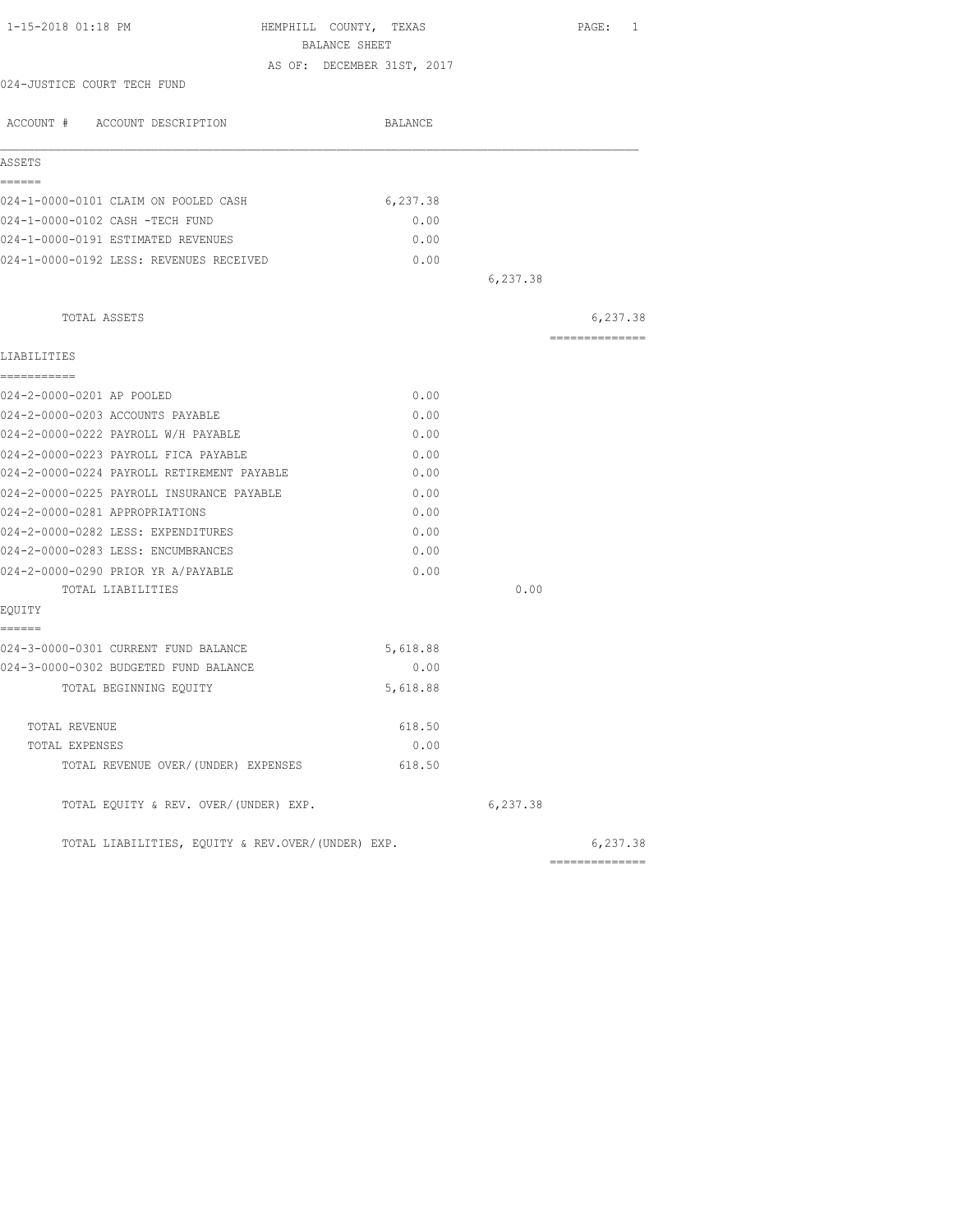| 1-15-2018 01:18 PM                                | HEMPHILL COUNTY, TEXAS     |          | PAGE: 1        |
|---------------------------------------------------|----------------------------|----------|----------------|
|                                                   | BALANCE SHEET              |          |                |
|                                                   | AS OF: DECEMBER 31ST, 2017 |          |                |
| 024-JUSTICE COURT TECH FUND                       |                            |          |                |
| ACCOUNT # ACCOUNT DESCRIPTION                     | BALANCE                    |          |                |
| ASSETS                                            |                            |          |                |
| ------                                            |                            |          |                |
| 024-1-0000-0101 CLAIM ON POOLED CASH              | 6,237.38                   |          |                |
| 024-1-0000-0102 CASH -TECH FUND                   | 0.00                       |          |                |
| 024-1-0000-0191 ESTIMATED REVENUES                | 0.00                       |          |                |
| 024-1-0000-0192 LESS: REVENUES RECEIVED           | 0.00                       |          |                |
|                                                   |                            | 6,237.38 |                |
| TOTAL ASSETS                                      |                            |          | 6,237.38       |
| LIABILITIES                                       |                            |          | ============== |
| ===========                                       |                            |          |                |
| 024-2-0000-0201 AP POOLED                         | 0.00                       |          |                |
| 024-2-0000-0203 ACCOUNTS PAYABLE                  | 0.00                       |          |                |
| 024-2-0000-0222 PAYROLL W/H PAYABLE               | 0.00                       |          |                |
| 024-2-0000-0223 PAYROLL FICA PAYABLE              | 0.00                       |          |                |
| 024-2-0000-0224 PAYROLL RETIREMENT PAYABLE        | 0.00                       |          |                |
| 024-2-0000-0225 PAYROLL INSURANCE PAYABLE         | 0.00                       |          |                |
| 024-2-0000-0281 APPROPRIATIONS                    | 0.00                       |          |                |
| 024-2-0000-0282 LESS: EXPENDITURES                | 0.00                       |          |                |
| 024-2-0000-0283 LESS: ENCUMBRANCES                | 0.00                       |          |                |
| 024-2-0000-0290 PRIOR YR A/PAYABLE                | 0.00                       |          |                |
| TOTAL LIABILITIES                                 |                            | 0.00     |                |
| EQUITY                                            |                            |          |                |
| ======                                            |                            |          |                |
| 024-3-0000-0301 CURRENT FUND BALANCE              | 5,618.88                   |          |                |
| 024-3-0000-0302 BUDGETED FUND BALANCE             | 0.00                       |          |                |
| TOTAL BEGINNING EQUITY                            | 5,618.88                   |          |                |
| TOTAL REVENUE                                     | 618.50                     |          |                |
| TOTAL EXPENSES                                    | 0.00                       |          |                |
| TOTAL REVENUE OVER/(UNDER) EXPENSES               | 618.50                     |          |                |
| TOTAL EQUITY & REV. OVER/(UNDER) EXP.             |                            | 6,237.38 |                |
| TOTAL LIABILITIES, EOUITY & REV.OVER/(UNDER) EXP. |                            |          | 6,237.38       |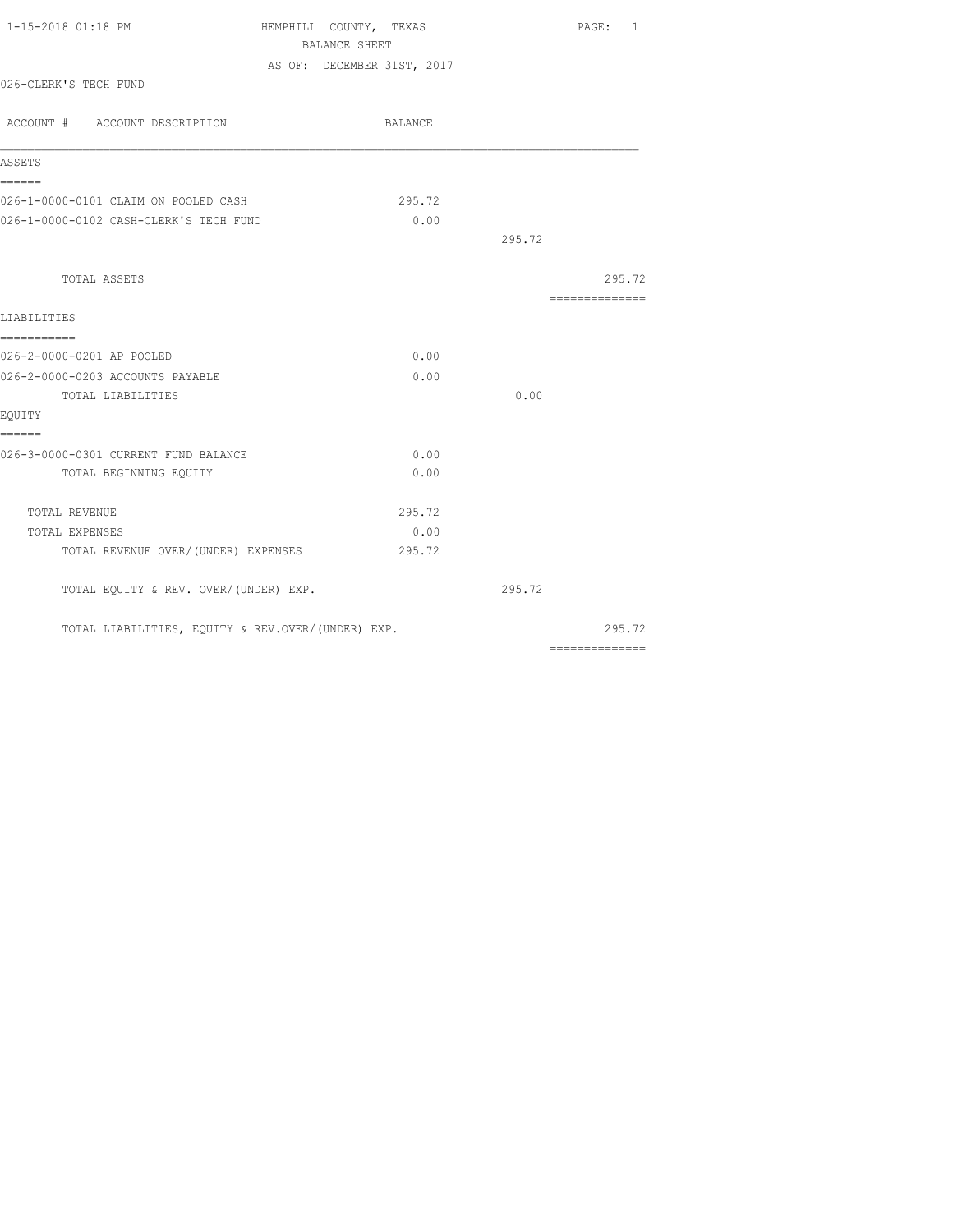| 1-15-2018 01:18 PM                                | HEMPHILL COUNTY, TEXAS     | PAGE: 1                                                                                                                                                                                                                                                                                                                                                                                                                                                                                |
|---------------------------------------------------|----------------------------|----------------------------------------------------------------------------------------------------------------------------------------------------------------------------------------------------------------------------------------------------------------------------------------------------------------------------------------------------------------------------------------------------------------------------------------------------------------------------------------|
|                                                   | BALANCE SHEET              |                                                                                                                                                                                                                                                                                                                                                                                                                                                                                        |
|                                                   | AS OF: DECEMBER 31ST, 2017 |                                                                                                                                                                                                                                                                                                                                                                                                                                                                                        |
| 026-CLERK'S TECH FUND                             |                            |                                                                                                                                                                                                                                                                                                                                                                                                                                                                                        |
|                                                   |                            |                                                                                                                                                                                                                                                                                                                                                                                                                                                                                        |
| ACCOUNT # ACCOUNT DESCRIPTION                     | BALANCE                    |                                                                                                                                                                                                                                                                                                                                                                                                                                                                                        |
| ASSETS                                            |                            |                                                                                                                                                                                                                                                                                                                                                                                                                                                                                        |
| ======                                            |                            |                                                                                                                                                                                                                                                                                                                                                                                                                                                                                        |
| 026-1-0000-0101 CLAIM ON POOLED CASH              | 295.72                     |                                                                                                                                                                                                                                                                                                                                                                                                                                                                                        |
| 026-1-0000-0102 CASH-CLERK'S TECH FUND            | 0.00                       |                                                                                                                                                                                                                                                                                                                                                                                                                                                                                        |
|                                                   |                            | 295.72                                                                                                                                                                                                                                                                                                                                                                                                                                                                                 |
|                                                   |                            |                                                                                                                                                                                                                                                                                                                                                                                                                                                                                        |
| TOTAL ASSETS                                      |                            | 295.72                                                                                                                                                                                                                                                                                                                                                                                                                                                                                 |
|                                                   |                            | $\begin{array}{cccccccccc} \multicolumn{2}{c}{} & \multicolumn{2}{c}{} & \multicolumn{2}{c}{} & \multicolumn{2}{c}{} & \multicolumn{2}{c}{} & \multicolumn{2}{c}{} & \multicolumn{2}{c}{} & \multicolumn{2}{c}{} & \multicolumn{2}{c}{} & \multicolumn{2}{c}{} & \multicolumn{2}{c}{} & \multicolumn{2}{c}{} & \multicolumn{2}{c}{} & \multicolumn{2}{c}{} & \multicolumn{2}{c}{} & \multicolumn{2}{c}{} & \multicolumn{2}{c}{} & \multicolumn{2}{c}{} & \multicolumn{2}{c}{} & \mult$ |
| LIABILITIES                                       |                            |                                                                                                                                                                                                                                                                                                                                                                                                                                                                                        |
| -----------                                       |                            |                                                                                                                                                                                                                                                                                                                                                                                                                                                                                        |
| 026-2-0000-0201 AP POOLED                         | 0.00                       |                                                                                                                                                                                                                                                                                                                                                                                                                                                                                        |
| 026-2-0000-0203 ACCOUNTS PAYABLE                  | 0.00                       |                                                                                                                                                                                                                                                                                                                                                                                                                                                                                        |
| TOTAL LIABILITIES                                 |                            | 0.00                                                                                                                                                                                                                                                                                                                                                                                                                                                                                   |
| EOUITY                                            |                            |                                                                                                                                                                                                                                                                                                                                                                                                                                                                                        |
| ======                                            |                            |                                                                                                                                                                                                                                                                                                                                                                                                                                                                                        |
| 026-3-0000-0301 CURRENT FUND BALANCE              | 0.00                       |                                                                                                                                                                                                                                                                                                                                                                                                                                                                                        |
| TOTAL BEGINNING EQUITY                            | 0.00                       |                                                                                                                                                                                                                                                                                                                                                                                                                                                                                        |
| TOTAL REVENUE                                     | 295.72                     |                                                                                                                                                                                                                                                                                                                                                                                                                                                                                        |
| TOTAL EXPENSES                                    | 0.00                       |                                                                                                                                                                                                                                                                                                                                                                                                                                                                                        |
| TOTAL REVENUE OVER/(UNDER) EXPENSES               | 295.72                     |                                                                                                                                                                                                                                                                                                                                                                                                                                                                                        |
|                                                   |                            |                                                                                                                                                                                                                                                                                                                                                                                                                                                                                        |
| TOTAL EQUITY & REV. OVER/(UNDER) EXP.             |                            | 295.72                                                                                                                                                                                                                                                                                                                                                                                                                                                                                 |
| TOTAL LIABILITIES, EQUITY & REV.OVER/(UNDER) EXP. |                            | 295.72                                                                                                                                                                                                                                                                                                                                                                                                                                                                                 |
|                                                   |                            | --------------                                                                                                                                                                                                                                                                                                                                                                                                                                                                         |
|                                                   |                            |                                                                                                                                                                                                                                                                                                                                                                                                                                                                                        |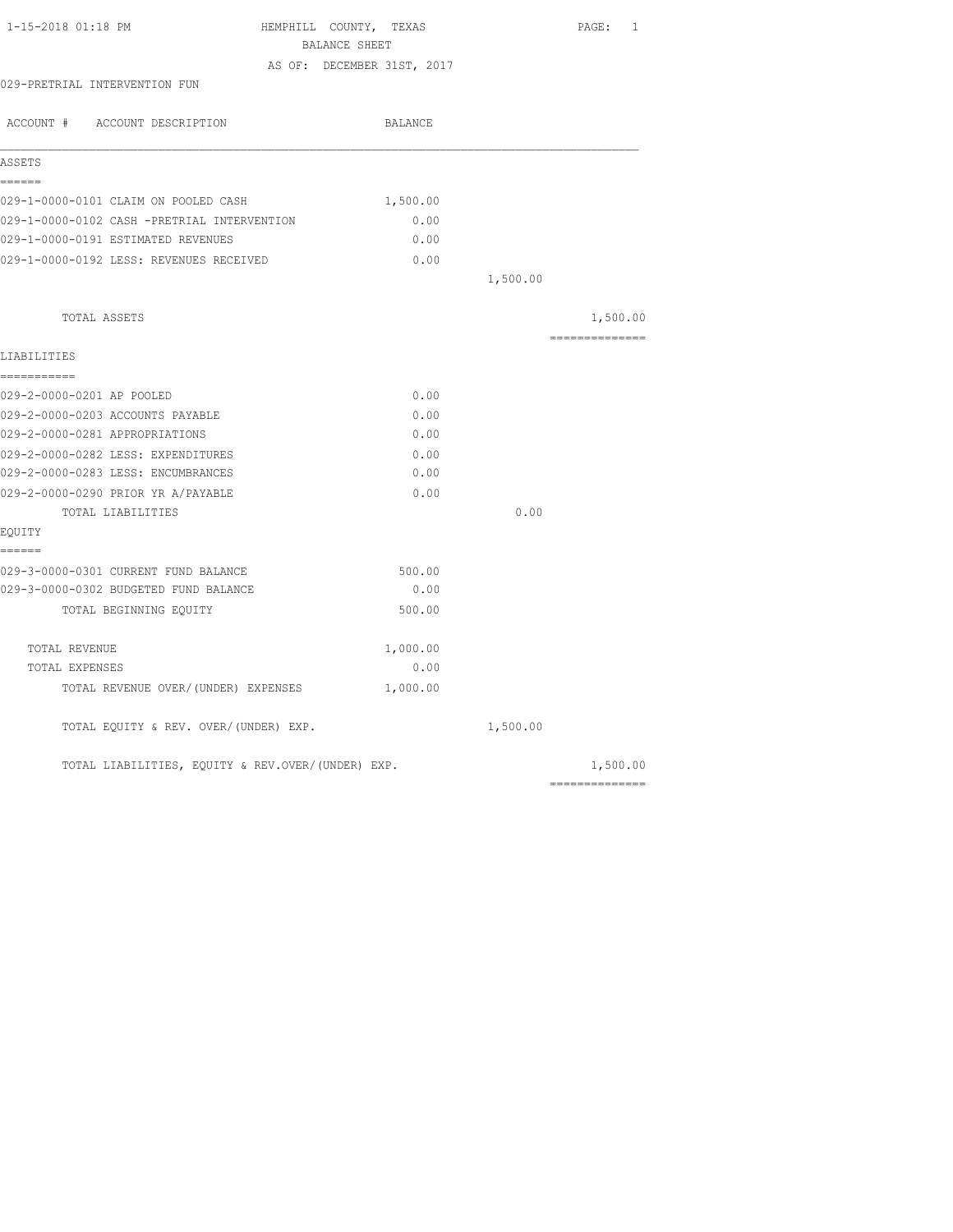| 1-15-2018 01:18 PM                                | HEMPHILL COUNTY, TEXAS     | PAGE: 1        |
|---------------------------------------------------|----------------------------|----------------|
|                                                   | <b>BALANCE SHEET</b>       |                |
|                                                   | AS OF: DECEMBER 31ST, 2017 |                |
| 029-PRETRIAL INTERVENTION FUN                     |                            |                |
| ACCOUNT # ACCOUNT DESCRIPTION                     | BALANCE                    |                |
| ASSETS                                            |                            |                |
| ------                                            |                            |                |
| 029-1-0000-0101 CLAIM ON POOLED CASH              | 1,500.00                   |                |
| 029-1-0000-0102 CASH -PRETRIAL INTERVENTION       | 0.00                       |                |
| 029-1-0000-0191 ESTIMATED REVENUES                | 0.00                       |                |
| 029-1-0000-0192 LESS: REVENUES RECEIVED           | 0.00                       |                |
|                                                   |                            | 1,500.00       |
| TOTAL ASSETS                                      |                            | 1,500.00       |
| LIABILITIES                                       |                            | ============== |
| -----------                                       |                            |                |
| 029-2-0000-0201 AP POOLED                         | 0.00                       |                |
| 029-2-0000-0203 ACCOUNTS PAYABLE                  | 0.00                       |                |
| 029-2-0000-0281 APPROPRIATIONS                    | 0.00                       |                |
| 029-2-0000-0282 LESS: EXPENDITURES                | 0.00                       |                |
| 029-2-0000-0283 LESS: ENCUMBRANCES                | 0.00                       |                |
| 029-2-0000-0290 PRIOR YR A/PAYABLE                | 0.00                       |                |
| TOTAL LIABILITIES                                 |                            | 0.00           |
| EOUITY                                            |                            |                |
| ------<br>029-3-0000-0301 CURRENT FUND BALANCE    | 500.00                     |                |
| 029-3-0000-0302 BUDGETED FUND BALANCE             | 0.00                       |                |
| TOTAL BEGINNING EQUITY                            | 500.00                     |                |
| TOTAL REVENUE                                     | 1,000.00                   |                |
| TOTAL EXPENSES                                    | 0.00                       |                |
| TOTAL REVENUE OVER/(UNDER) EXPENSES               | 1,000.00                   |                |
| TOTAL EQUITY & REV. OVER/(UNDER) EXP.             |                            | 1,500.00       |
| TOTAL LIABILITIES, EQUITY & REV.OVER/(UNDER) EXP. |                            | 1,500.00       |
|                                                   |                            |                |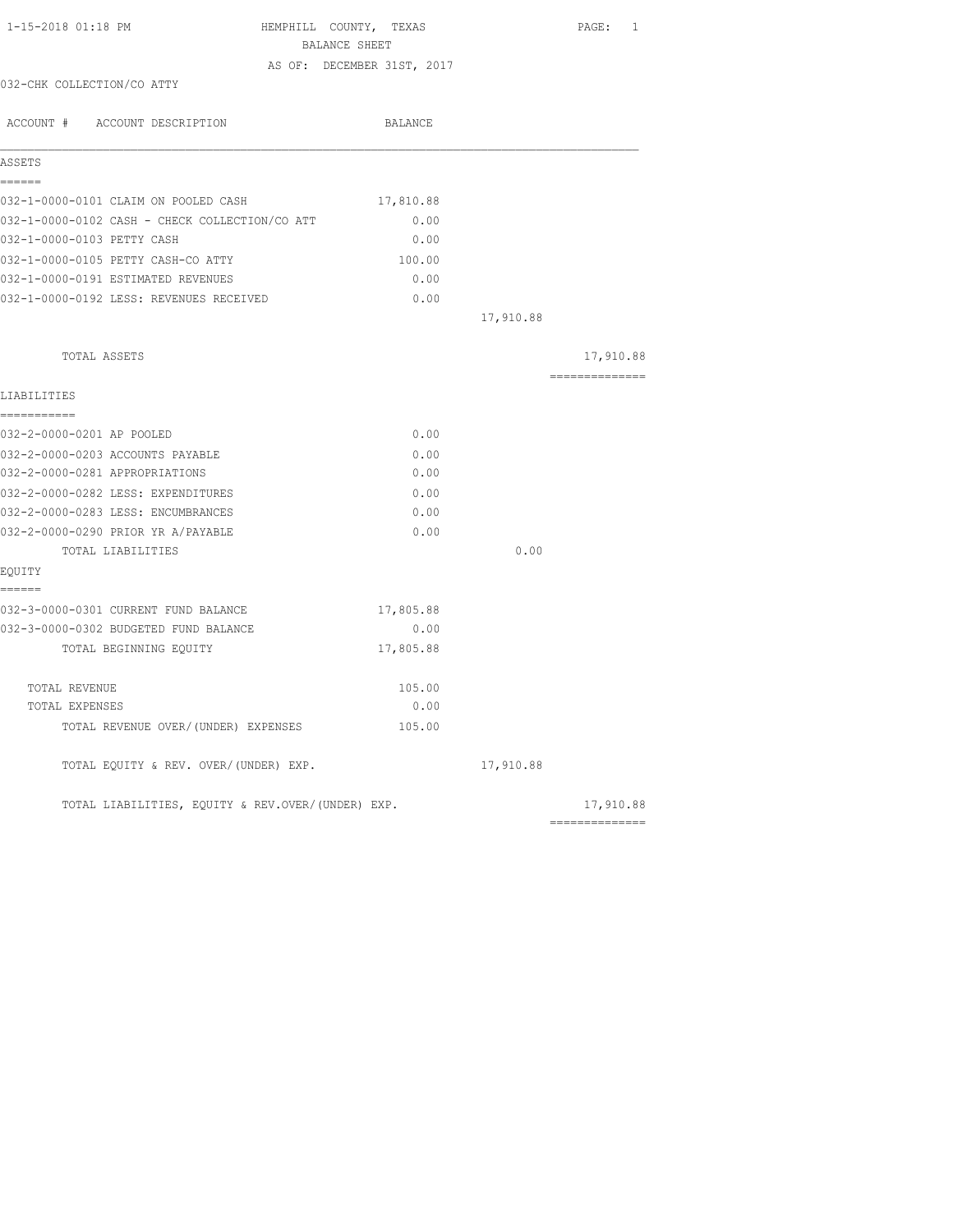| 1-15-2018 01:18 PM                                | HEMPHILL COUNTY, TEXAS<br>BALANCE SHEET | PAGE: 1                      |
|---------------------------------------------------|-----------------------------------------|------------------------------|
|                                                   | AS OF: DECEMBER 31ST, 2017              |                              |
| 032-CHK COLLECTION/CO ATTY                        |                                         |                              |
| ACCOUNT # ACCOUNT DESCRIPTION                     | BALANCE                                 |                              |
| ASSETS                                            |                                         |                              |
| ------<br>032-1-0000-0101 CLAIM ON POOLED CASH    | 17,810.88                               |                              |
| 032-1-0000-0102 CASH - CHECK COLLECTION/CO ATT    | 0.00                                    |                              |
| 032-1-0000-0103 PETTY CASH                        | 0.00                                    |                              |
| 032-1-0000-0105 PETTY CASH-CO ATTY                | 100.00                                  |                              |
| 032-1-0000-0191 ESTIMATED REVENUES                | 0.00                                    |                              |
| 032-1-0000-0192 LESS: REVENUES RECEIVED           | 0.00                                    |                              |
|                                                   |                                         | 17,910.88                    |
| TOTAL ASSETS                                      |                                         | 17,910.88                    |
| LIABILITIES                                       |                                         | ==============               |
| ===========<br>032-2-0000-0201 AP POOLED          | 0.00                                    |                              |
| 032-2-0000-0203 ACCOUNTS PAYABLE                  | 0.00                                    |                              |
| 032-2-0000-0281 APPROPRIATIONS                    | 0.00                                    |                              |
| 032-2-0000-0282 LESS: EXPENDITURES                | 0.00                                    |                              |
| 032-2-0000-0283 LESS: ENCUMBRANCES                | 0.00                                    |                              |
| 032-2-0000-0290 PRIOR YR A/PAYABLE                | 0.00                                    |                              |
| TOTAL LIABILITIES                                 |                                         | 0.00                         |
| EQUITY                                            |                                         |                              |
| ======<br>032-3-0000-0301 CURRENT FUND BALANCE    | 17,805.88                               |                              |
| 032-3-0000-0302 BUDGETED FUND BALANCE             | 0.00                                    |                              |
| TOTAL BEGINNING EOUITY                            | 17,805.88                               |                              |
| TOTAL REVENUE                                     | 105.00                                  |                              |
| TOTAL EXPENSES                                    | 0.00                                    |                              |
| TOTAL REVENUE OVER/(UNDER) EXPENSES               | 105.00                                  |                              |
| TOTAL EQUITY & REV. OVER/(UNDER) EXP.             |                                         | 17,910.88                    |
| TOTAL LIABILITIES, EQUITY & REV.OVER/(UNDER) EXP. |                                         | 17,910.88<br>--------------- |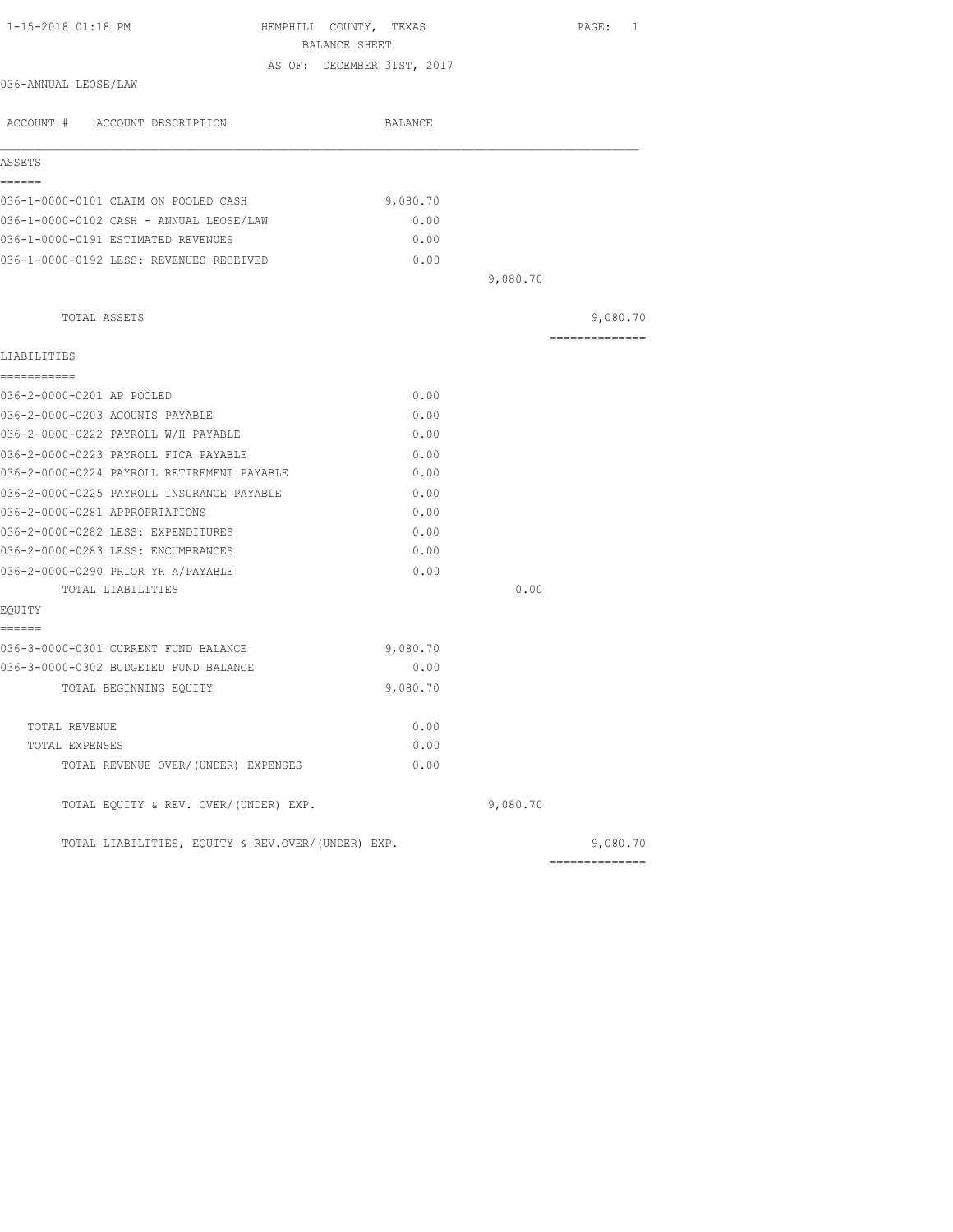| 1-15-2018 01:18 PM                                | HEMPHILL COUNTY, TEXAS<br>BALANCE SHEET |          | PAGE: 1                     |
|---------------------------------------------------|-----------------------------------------|----------|-----------------------------|
|                                                   | AS OF: DECEMBER 31ST, 2017              |          |                             |
| 036-ANNUAL LEOSE/LAW                              |                                         |          |                             |
| ACCOUNT # ACCOUNT DESCRIPTION                     | BALANCE                                 |          |                             |
| ASSETS                                            |                                         |          |                             |
| ======<br>036-1-0000-0101 CLAIM ON POOLED CASH    | 9,080.70                                |          |                             |
| 036-1-0000-0102 CASH - ANNUAL LEOSE/LAW           | 0.00                                    |          |                             |
| 036-1-0000-0191 ESTIMATED REVENUES                | 0.00                                    |          |                             |
| 036-1-0000-0192 LESS: REVENUES RECEIVED           | 0.00                                    |          |                             |
|                                                   |                                         | 9,080.70 |                             |
| TOTAL ASSETS                                      |                                         |          | 9,080.70                    |
| LIABILITIES                                       |                                         |          | .                           |
| ===========                                       |                                         |          |                             |
| 036-2-0000-0201 AP POOLED                         | 0.00                                    |          |                             |
| 036-2-0000-0203 ACOUNTS PAYABLE                   | 0.00                                    |          |                             |
| 036-2-0000-0222 PAYROLL W/H PAYABLE               | 0.00                                    |          |                             |
| 036-2-0000-0223 PAYROLL FICA PAYABLE              | 0.00                                    |          |                             |
| 036-2-0000-0224 PAYROLL RETIREMENT PAYABLE        | 0.00                                    |          |                             |
| 036-2-0000-0225 PAYROLL INSURANCE PAYABLE         | 0.00                                    |          |                             |
| 036-2-0000-0281 APPROPRIATIONS                    | 0.00                                    |          |                             |
| 036-2-0000-0282 LESS: EXPENDITURES                | 0.00                                    |          |                             |
| 036-2-0000-0283 LESS: ENCUMBRANCES                | 0.00                                    |          |                             |
| 036-2-0000-0290 PRIOR YR A/PAYABLE                | 0.00                                    |          |                             |
| TOTAL LIABILITIES                                 |                                         | 0.00     |                             |
| EQUITY<br>======                                  |                                         |          |                             |
| 036-3-0000-0301 CURRENT FUND BALANCE              | 9,080.70                                |          |                             |
| 036-3-0000-0302 BUDGETED FUND BALANCE             | 0.00                                    |          |                             |
| TOTAL BEGINNING EQUITY                            | 9,080.70                                |          |                             |
| TOTAL REVENUE                                     | 0.00                                    |          |                             |
| TOTAL EXPENSES                                    | 0.00                                    |          |                             |
| TOTAL REVENUE OVER/(UNDER) EXPENSES               | 0.00                                    |          |                             |
| TOTAL EQUITY & REV. OVER/(UNDER) EXP.             |                                         | 9,080.70 |                             |
| TOTAL LIABILITIES, EQUITY & REV.OVER/(UNDER) EXP. |                                         |          | 9,080.70<br>--------------- |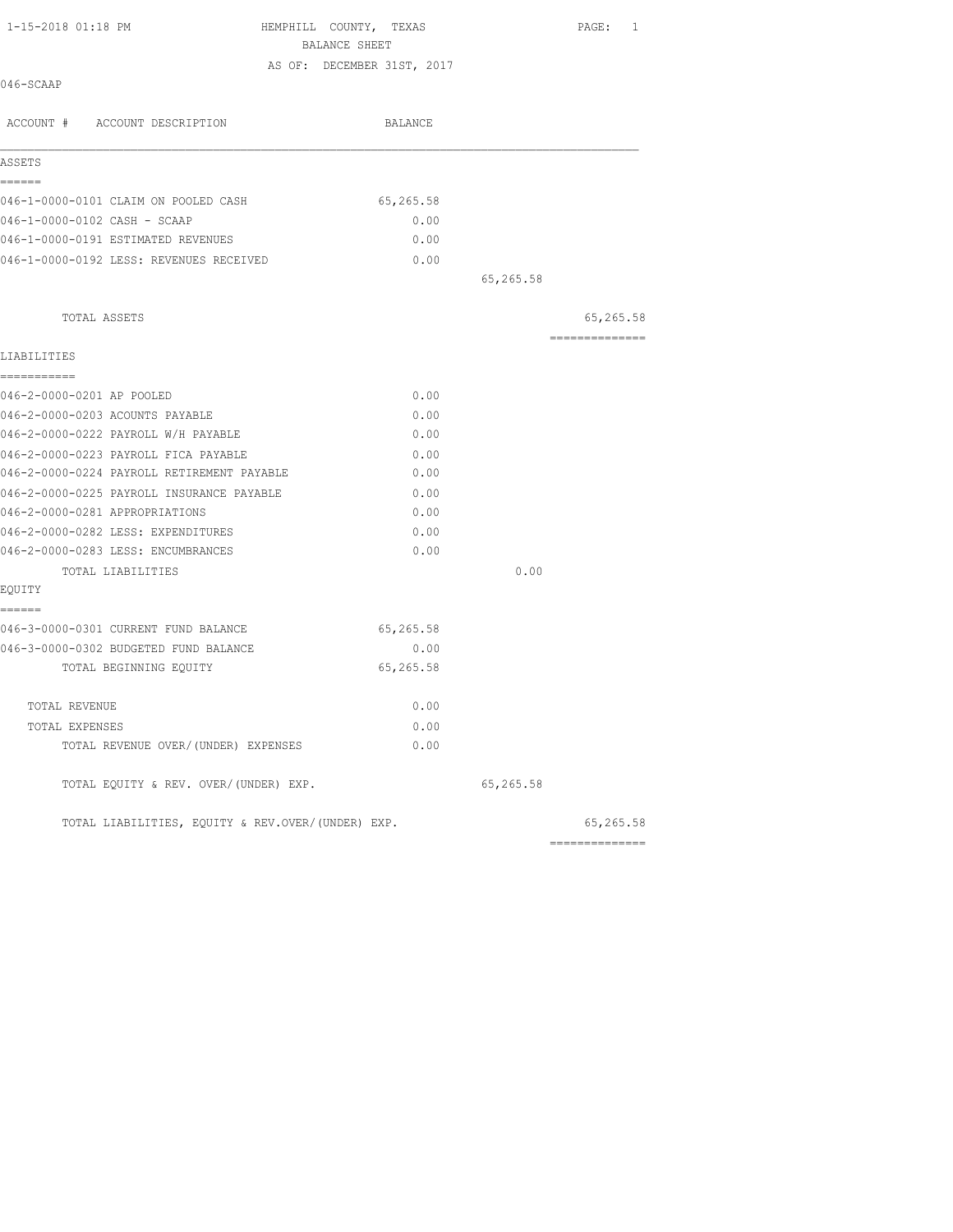| 1-15-2018 01:18 PM                                | HEMPHILL COUNTY, TEXAS<br>BALANCE SHEET |                            |           | PAGE: 1        |
|---------------------------------------------------|-----------------------------------------|----------------------------|-----------|----------------|
|                                                   |                                         |                            |           |                |
| 046-SCAAP                                         |                                         | AS OF: DECEMBER 31ST, 2017 |           |                |
| ACCOUNT # ACCOUNT DESCRIPTION                     |                                         | BALANCE                    |           |                |
| ASSETS                                            |                                         |                            |           |                |
| ======<br>046-1-0000-0101 CLAIM ON POOLED CASH    |                                         | 65,265.58                  |           |                |
| 046-1-0000-0102 CASH - SCAAP                      |                                         | 0.00                       |           |                |
| 046-1-0000-0191 ESTIMATED REVENUES                |                                         | 0.00                       |           |                |
| 046-1-0000-0192 LESS: REVENUES RECEIVED           |                                         | 0.00                       |           |                |
|                                                   |                                         |                            | 65,265.58 |                |
|                                                   |                                         |                            |           |                |
| TOTAL ASSETS                                      |                                         |                            |           | 65,265.58      |
| LIABILITIES                                       |                                         |                            |           | ============== |
| ===========                                       |                                         |                            |           |                |
| 046-2-0000-0201 AP POOLED                         |                                         | 0.00                       |           |                |
| 046-2-0000-0203 ACOUNTS PAYABLE                   |                                         | 0.00                       |           |                |
| 046-2-0000-0222 PAYROLL W/H PAYABLE               |                                         | 0.00                       |           |                |
| 046-2-0000-0223 PAYROLL FICA PAYABLE              |                                         | 0.00                       |           |                |
| 046-2-0000-0224 PAYROLL RETIREMENT PAYABLE        |                                         | 0.00                       |           |                |
| 046-2-0000-0225 PAYROLL INSURANCE PAYABLE         |                                         | 0.00                       |           |                |
| 046-2-0000-0281 APPROPRIATIONS                    |                                         | 0.00                       |           |                |
| 046-2-0000-0282 LESS: EXPENDITURES                |                                         | 0.00                       |           |                |
| 046-2-0000-0283 LESS: ENCUMBRANCES                |                                         | 0.00                       |           |                |
| TOTAL LIABILITIES                                 |                                         |                            | 0.00      |                |
| EQUITY                                            |                                         |                            |           |                |
| ======<br>046-3-0000-0301 CURRENT FUND BALANCE    |                                         | 65,265.58                  |           |                |
| 046-3-0000-0302 BUDGETED FUND BALANCE             |                                         | 0.00                       |           |                |
| TOTAL BEGINNING EQUITY                            |                                         | 65,265.58                  |           |                |
| TOTAL REVENUE                                     |                                         | 0.00                       |           |                |
| TOTAL EXPENSES                                    |                                         | 0.00                       |           |                |
| TOTAL REVENUE OVER/(UNDER) EXPENSES               |                                         | 0.00                       |           |                |
| TOTAL EQUITY & REV. OVER/(UNDER) EXP.             |                                         |                            | 65,265.58 |                |
| TOTAL LIABILITIES, EQUITY & REV.OVER/(UNDER) EXP. |                                         |                            |           | 65,265.58      |

| $n -$<br>$\sim$ $\times$<br>. 200. 00 |  |  | TOTAL LIABILITIES, EQUITY & KEV.OVEK/(UNDEK) EXP. |  |
|---------------------------------------|--|--|---------------------------------------------------|--|
| ______________<br>______________      |  |  |                                                   |  |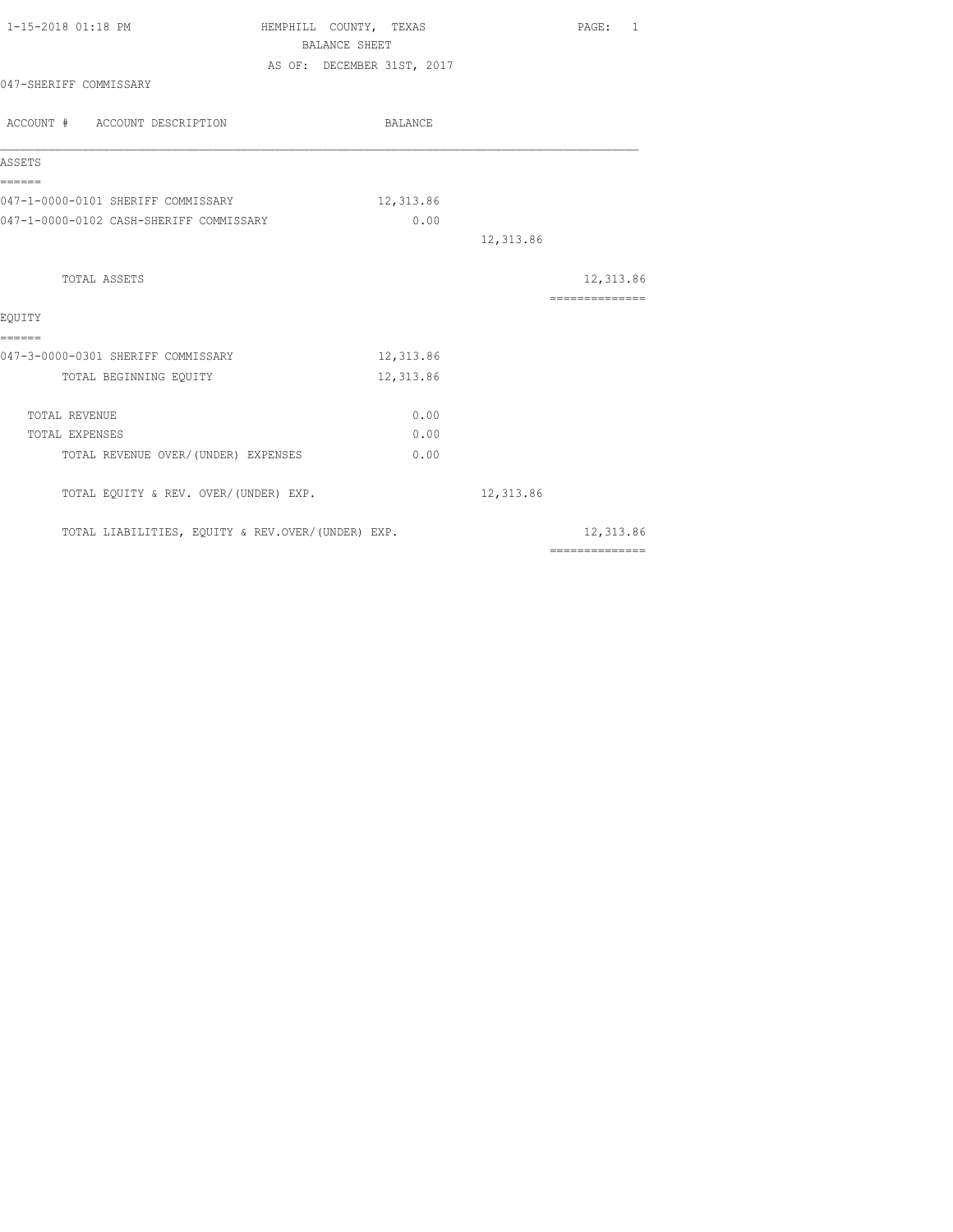| 1-15-2018 01:18 PM                                | HEMPHILL COUNTY, TEXAS |                            |           | PAGE: 1                                                                                                                                                                                                                                                                                                                                                                                                                                                                                |  |
|---------------------------------------------------|------------------------|----------------------------|-----------|----------------------------------------------------------------------------------------------------------------------------------------------------------------------------------------------------------------------------------------------------------------------------------------------------------------------------------------------------------------------------------------------------------------------------------------------------------------------------------------|--|
|                                                   | <b>BALANCE SHEET</b>   |                            |           |                                                                                                                                                                                                                                                                                                                                                                                                                                                                                        |  |
|                                                   |                        | AS OF: DECEMBER 31ST, 2017 |           |                                                                                                                                                                                                                                                                                                                                                                                                                                                                                        |  |
| 047-SHERIFF COMMISSARY                            |                        |                            |           |                                                                                                                                                                                                                                                                                                                                                                                                                                                                                        |  |
| ACCOUNT # ACCOUNT DESCRIPTION                     |                        | BALANCE                    |           |                                                                                                                                                                                                                                                                                                                                                                                                                                                                                        |  |
| ASSETS                                            |                        |                            |           |                                                                                                                                                                                                                                                                                                                                                                                                                                                                                        |  |
| ------<br>047-1-0000-0101 SHERIFF COMMISSARY      |                        | 12,313.86                  |           |                                                                                                                                                                                                                                                                                                                                                                                                                                                                                        |  |
| 047-1-0000-0102 CASH-SHERIFF COMMISSARY           |                        | 0.00                       |           |                                                                                                                                                                                                                                                                                                                                                                                                                                                                                        |  |
|                                                   |                        |                            | 12,313.86 |                                                                                                                                                                                                                                                                                                                                                                                                                                                                                        |  |
| TOTAL ASSETS                                      |                        |                            |           | 12,313.86                                                                                                                                                                                                                                                                                                                                                                                                                                                                              |  |
| EOUITY                                            |                        |                            |           | $\begin{array}{cccccccccc} \multicolumn{2}{c}{} & \multicolumn{2}{c}{} & \multicolumn{2}{c}{} & \multicolumn{2}{c}{} & \multicolumn{2}{c}{} & \multicolumn{2}{c}{} & \multicolumn{2}{c}{} & \multicolumn{2}{c}{} & \multicolumn{2}{c}{} & \multicolumn{2}{c}{} & \multicolumn{2}{c}{} & \multicolumn{2}{c}{} & \multicolumn{2}{c}{} & \multicolumn{2}{c}{} & \multicolumn{2}{c}{} & \multicolumn{2}{c}{} & \multicolumn{2}{c}{} & \multicolumn{2}{c}{} & \multicolumn{2}{c}{} & \mult$ |  |
| ======<br>047-3-0000-0301 SHERIFF COMMISSARY      |                        | 12,313.86                  |           |                                                                                                                                                                                                                                                                                                                                                                                                                                                                                        |  |
| TOTAL BEGINNING EQUITY                            |                        | 12,313.86                  |           |                                                                                                                                                                                                                                                                                                                                                                                                                                                                                        |  |
| TOTAL REVENUE                                     |                        | 0.00                       |           |                                                                                                                                                                                                                                                                                                                                                                                                                                                                                        |  |
| TOTAL EXPENSES                                    |                        | 0.00                       |           |                                                                                                                                                                                                                                                                                                                                                                                                                                                                                        |  |
| TOTAL REVENUE OVER/(UNDER) EXPENSES               |                        | 0.00                       |           |                                                                                                                                                                                                                                                                                                                                                                                                                                                                                        |  |
| TOTAL EQUITY & REV. OVER/(UNDER) EXP.             |                        |                            | 12,313.86 |                                                                                                                                                                                                                                                                                                                                                                                                                                                                                        |  |
| TOTAL LIABILITIES, EQUITY & REV.OVER/(UNDER) EXP. |                        |                            |           | 12,313.86                                                                                                                                                                                                                                                                                                                                                                                                                                                                              |  |
|                                                   |                        |                            |           | $\begin{array}{cccccccccccccc} \multicolumn{2}{c}{} & \multicolumn{2}{c}{} & \multicolumn{2}{c}{} & \multicolumn{2}{c}{} & \multicolumn{2}{c}{} & \multicolumn{2}{c}{} & \multicolumn{2}{c}{} & \multicolumn{2}{c}{} & \multicolumn{2}{c}{} & \multicolumn{2}{c}{} & \multicolumn{2}{c}{} & \multicolumn{2}{c}{} & \multicolumn{2}{c}{} & \multicolumn{2}{c}{} & \multicolumn{2}{c}{} & \multicolumn{2}{c}{} & \multicolumn{2}{c}{} & \multicolumn{2}{c}{} & \multicolumn{2}{c}{} & \$ |  |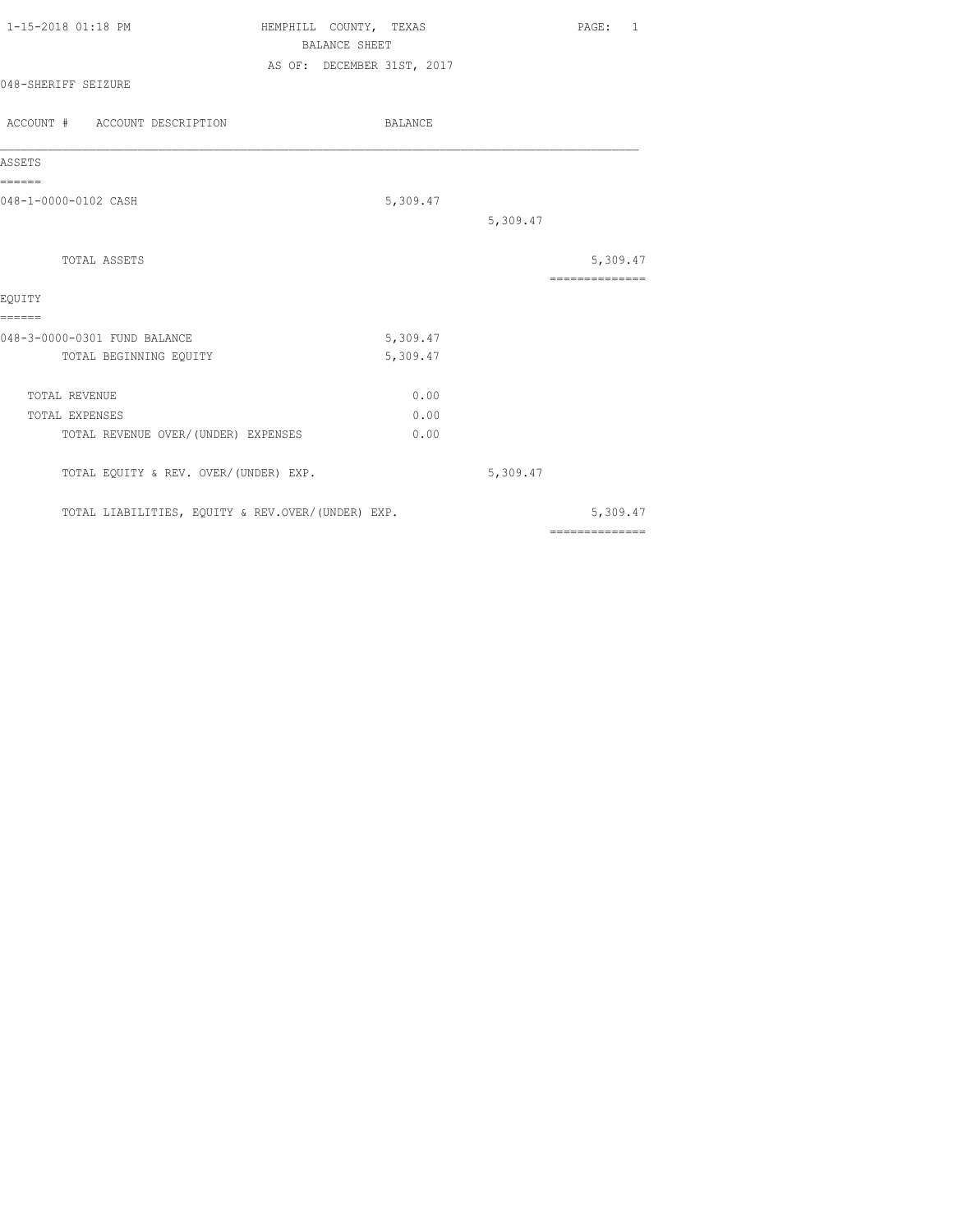| 1-15-2018 01:18 PM  |  | HEMPHILL COUNTY, TEXAS |                            | PAGE: |  |
|---------------------|--|------------------------|----------------------------|-------|--|
|                     |  | BALANCE SHEET          |                            |       |  |
|                     |  |                        | AS OF: DECEMBER 31ST, 2017 |       |  |
| 048-SHERIFF SEIZURE |  |                        |                            |       |  |
|                     |  |                        |                            |       |  |

| ACCOUNT # ACCOUNT DESCRIPTION                     | <b>BALANCE</b> |          |                 |
|---------------------------------------------------|----------------|----------|-----------------|
| ASSETS                                            |                |          |                 |
| ======                                            |                |          |                 |
| 048-1-0000-0102 CASH                              | 5,309.47       |          |                 |
|                                                   |                | 5,309.47 |                 |
| <b>TOTAL ASSETS</b>                               |                |          | 5,309.47        |
|                                                   |                |          | --------------- |
| EQUITY                                            |                |          |                 |
| ======                                            |                |          |                 |
| 048-3-0000-0301 FUND BALANCE                      | 5,309.47       |          |                 |
| TOTAL BEGINNING EQUITY                            | 5,309.47       |          |                 |
| TOTAL REVENUE                                     | 0.00           |          |                 |
| TOTAL EXPENSES                                    | 0.00           |          |                 |
| TOTAL REVENUE OVER/(UNDER) EXPENSES               | 0.00           |          |                 |
| TOTAL EQUITY & REV. OVER/(UNDER) EXP.             |                | 5,309.47 |                 |
| TOTAL LIABILITIES, EQUITY & REV.OVER/(UNDER) EXP. |                |          | 5,309.47        |
|                                                   |                |          | ==============  |